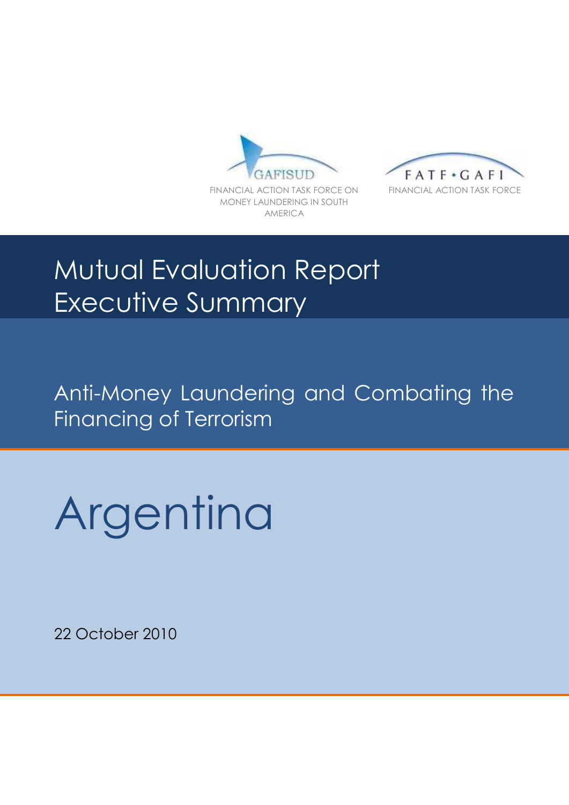



# Mutual Evaluation Report Executive Summary

Anti-Money Laundering and Combating the Financing of Terrorism

Argentina

22 October 2010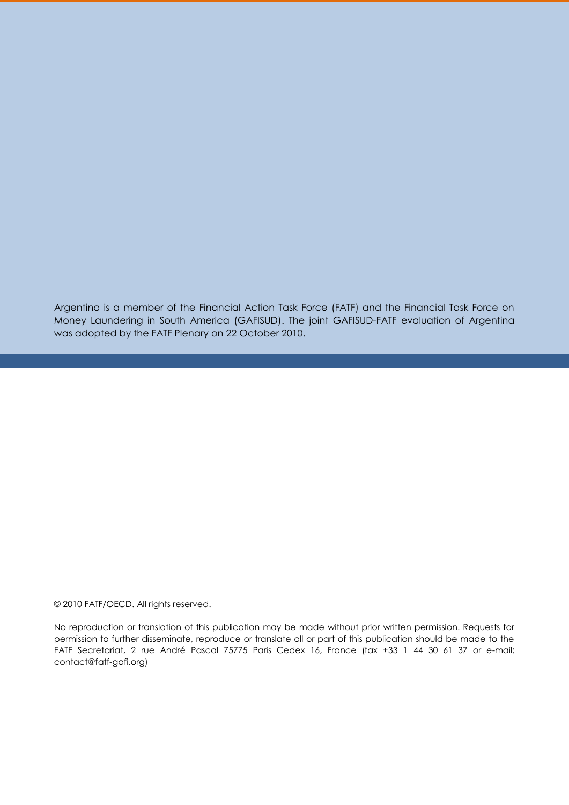Argentina is a member of the Financial Action Task Force (FATF) and the Financial Task Force on Money Laundering in South America (GAFISUD). The joint GAFISUD-FATF evaluation of Argentina was adopted by the FATF Plenary on 22 October 2010.

© 2010 FATF/OECD. All rights reserved.

No reproduction or translation of this publication may be made without prior written permission. Requests for permission to further disseminate, reproduce or translate all or part of this publication should be made to the FATF Secretariat, 2 rue André Pascal 75775 Paris Cedex 16, France (fax +33 1 44 30 61 37 or e-mail: contact@fatf-gafi.org)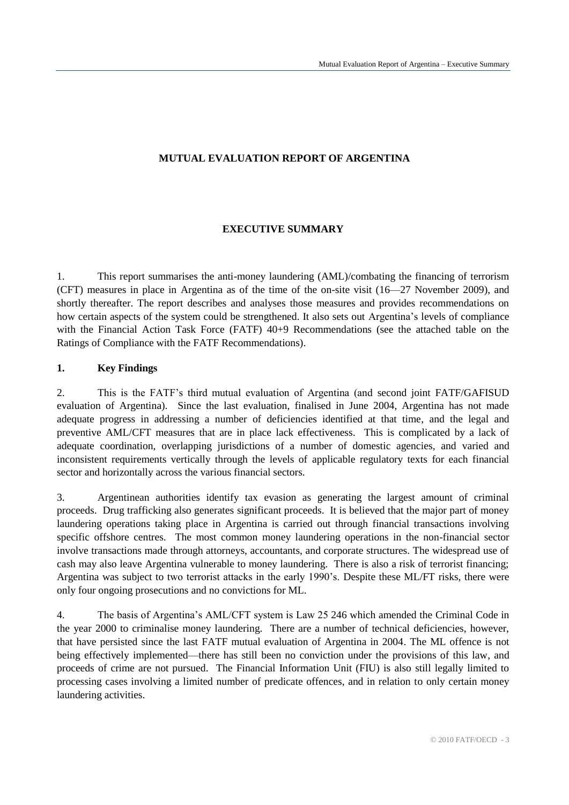# **MUTUAL EVALUATION REPORT OF ARGENTINA**

# **EXECUTIVE SUMMARY**

1. This report summarises the anti-money laundering (AML)/combating the financing of terrorism (CFT) measures in place in Argentina as of the time of the on-site visit (16—27 November 2009), and shortly thereafter. The report describes and analyses those measures and provides recommendations on how certain aspects of the system could be strengthened. It also sets out Argentina's levels of compliance with the Financial Action Task Force (FATF)  $40+9$  Recommendations (see the attached table on the Ratings of Compliance with the FATF Recommendations).

# **1. Key Findings**

2. This is the FATF's third mutual evaluation of Argentina (and second joint FATF/GAFISUD evaluation of Argentina). Since the last evaluation, finalised in June 2004, Argentina has not made adequate progress in addressing a number of deficiencies identified at that time, and the legal and preventive AML/CFT measures that are in place lack effectiveness. This is complicated by a lack of adequate coordination, overlapping jurisdictions of a number of domestic agencies, and varied and inconsistent requirements vertically through the levels of applicable regulatory texts for each financial sector and horizontally across the various financial sectors.

3. Argentinean authorities identify tax evasion as generating the largest amount of criminal proceeds. Drug trafficking also generates significant proceeds. It is believed that the major part of money laundering operations taking place in Argentina is carried out through financial transactions involving specific offshore centres. The most common money laundering operations in the non-financial sector involve transactions made through attorneys, accountants, and corporate structures. The widespread use of cash may also leave Argentina vulnerable to money laundering. There is also a risk of terrorist financing; Argentina was subject to two terrorist attacks in the early 1990's. Despite these ML/FT risks, there were only four ongoing prosecutions and no convictions for ML.

4. The basis of Argentina's AML/CFT system is Law 25 246 which amended the Criminal Code in the year 2000 to criminalise money laundering. There are a number of technical deficiencies, however, that have persisted since the last FATF mutual evaluation of Argentina in 2004. The ML offence is not being effectively implemented—there has still been no conviction under the provisions of this law, and proceeds of crime are not pursued. The Financial Information Unit (FIU) is also still legally limited to processing cases involving a limited number of predicate offences, and in relation to only certain money laundering activities.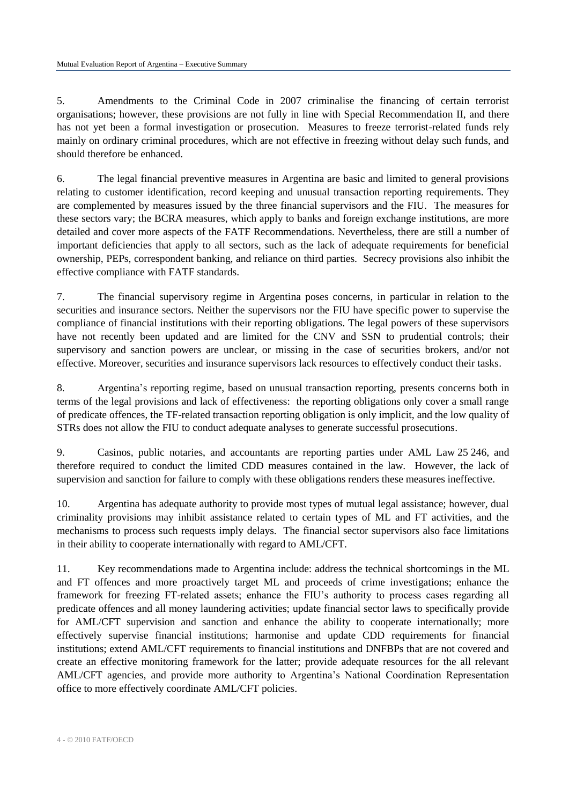5. Amendments to the Criminal Code in 2007 criminalise the financing of certain terrorist organisations; however, these provisions are not fully in line with Special Recommendation II, and there has not yet been a formal investigation or prosecution. Measures to freeze terrorist-related funds rely mainly on ordinary criminal procedures, which are not effective in freezing without delay such funds, and should therefore be enhanced.

6. The legal financial preventive measures in Argentina are basic and limited to general provisions relating to customer identification, record keeping and unusual transaction reporting requirements. They are complemented by measures issued by the three financial supervisors and the FIU. The measures for these sectors vary; the BCRA measures, which apply to banks and foreign exchange institutions, are more detailed and cover more aspects of the FATF Recommendations. Nevertheless, there are still a number of important deficiencies that apply to all sectors, such as the lack of adequate requirements for beneficial ownership, PEPs, correspondent banking, and reliance on third parties. Secrecy provisions also inhibit the effective compliance with FATF standards.

7. The financial supervisory regime in Argentina poses concerns, in particular in relation to the securities and insurance sectors. Neither the supervisors nor the FIU have specific power to supervise the compliance of financial institutions with their reporting obligations. The legal powers of these supervisors have not recently been updated and are limited for the CNV and SSN to prudential controls; their supervisory and sanction powers are unclear, or missing in the case of securities brokers, and/or not effective. Moreover, securities and insurance supervisors lack resources to effectively conduct their tasks.

8. Argentina's reporting regime, based on unusual transaction reporting, presents concerns both in terms of the legal provisions and lack of effectiveness: the reporting obligations only cover a small range of predicate offences, the TF-related transaction reporting obligation is only implicit, and the low quality of STRs does not allow the FIU to conduct adequate analyses to generate successful prosecutions.

9. Casinos, public notaries, and accountants are reporting parties under AML Law 25 246, and therefore required to conduct the limited CDD measures contained in the law. However, the lack of supervision and sanction for failure to comply with these obligations renders these measures ineffective.

10. Argentina has adequate authority to provide most types of mutual legal assistance; however, dual criminality provisions may inhibit assistance related to certain types of ML and FT activities, and the mechanisms to process such requests imply delays. The financial sector supervisors also face limitations in their ability to cooperate internationally with regard to AML/CFT.

11. Key recommendations made to Argentina include: address the technical shortcomings in the ML and FT offences and more proactively target ML and proceeds of crime investigations; enhance the framework for freezing FT-related assets; enhance the FIU's authority to process cases regarding all predicate offences and all money laundering activities; update financial sector laws to specifically provide for AML/CFT supervision and sanction and enhance the ability to cooperate internationally; more effectively supervise financial institutions; harmonise and update CDD requirements for financial institutions; extend AML/CFT requirements to financial institutions and DNFBPs that are not covered and create an effective monitoring framework for the latter; provide adequate resources for the all relevant AML/CFT agencies, and provide more authority to Argentina's National Coordination Representation office to more effectively coordinate AML/CFT policies.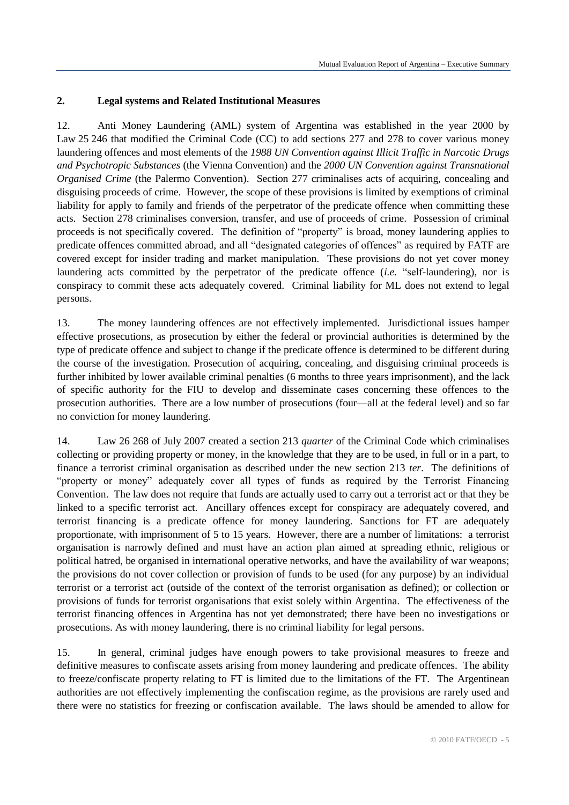## **2. Legal systems and Related Institutional Measures**

12. Anti Money Laundering (AML) system of Argentina was established in the year 2000 by Law 25 246 that modified the Criminal Code (CC) to add sections 277 and 278 to cover various money laundering offences and most elements of the *1988 UN Convention against Illicit Traffic in Narcotic Drugs and Psychotropic Substances* (the Vienna Convention) and the *2000 UN Convention against Transnational Organised Crime* (the Palermo Convention). Section 277 criminalises acts of acquiring, concealing and disguising proceeds of crime. However, the scope of these provisions is limited by exemptions of criminal liability for apply to family and friends of the perpetrator of the predicate offence when committing these acts. Section 278 criminalises conversion, transfer, and use of proceeds of crime. Possession of criminal proceeds is not specifically covered. The definition of "property" is broad, money laundering applies to predicate offences committed abroad, and all "designated categories of offences" as required by FATF are covered except for insider trading and market manipulation. These provisions do not yet cover money laundering acts committed by the perpetrator of the predicate offence (*i.e.* "self-laundering), nor is conspiracy to commit these acts adequately covered. Criminal liability for ML does not extend to legal persons.

13. The money laundering offences are not effectively implemented. Jurisdictional issues hamper effective prosecutions, as prosecution by either the federal or provincial authorities is determined by the type of predicate offence and subject to change if the predicate offence is determined to be different during the course of the investigation. Prosecution of acquiring, concealing, and disguising criminal proceeds is further inhibited by lower available criminal penalties (6 months to three years imprisonment), and the lack of specific authority for the FIU to develop and disseminate cases concerning these offences to the prosecution authorities. There are a low number of prosecutions (four—all at the federal level) and so far no conviction for money laundering.

14. Law 26 268 of July 2007 created a section 213 *quarter* of the Criminal Code which criminalises collecting or providing property or money, in the knowledge that they are to be used, in full or in a part, to finance a terrorist criminal organisation as described under the new section 213 *ter*. The definitions of "property or money" adequately cover all types of funds as required by the Terrorist Financing Convention. The law does not require that funds are actually used to carry out a terrorist act or that they be linked to a specific terrorist act. Ancillary offences except for conspiracy are adequately covered, and terrorist financing is a predicate offence for money laundering. Sanctions for FT are adequately proportionate, with imprisonment of 5 to 15 years. However, there are a number of limitations: a terrorist organisation is narrowly defined and must have an action plan aimed at spreading ethnic, religious or political hatred, be organised in international operative networks, and have the availability of war weapons; the provisions do not cover collection or provision of funds to be used (for any purpose) by an individual terrorist or a terrorist act (outside of the context of the terrorist organisation as defined); or collection or provisions of funds for terrorist organisations that exist solely within Argentina. The effectiveness of the terrorist financing offences in Argentina has not yet demonstrated; there have been no investigations or prosecutions. As with money laundering, there is no criminal liability for legal persons.

15. In general, criminal judges have enough powers to take provisional measures to freeze and definitive measures to confiscate assets arising from money laundering and predicate offences. The ability to freeze/confiscate property relating to FT is limited due to the limitations of the FT. The Argentinean authorities are not effectively implementing the confiscation regime, as the provisions are rarely used and there were no statistics for freezing or confiscation available. The laws should be amended to allow for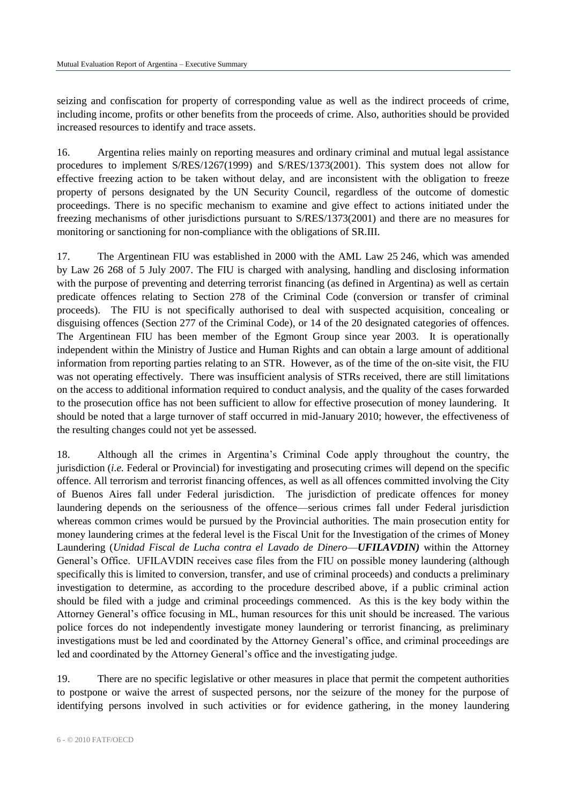seizing and confiscation for property of corresponding value as well as the indirect proceeds of crime, including income, profits or other benefits from the proceeds of crime. Also, authorities should be provided increased resources to identify and trace assets.

16. Argentina relies mainly on reporting measures and ordinary criminal and mutual legal assistance procedures to implement S/RES/1267(1999) and S/RES/1373(2001). This system does not allow for effective freezing action to be taken without delay, and are inconsistent with the obligation to freeze property of persons designated by the UN Security Council, regardless of the outcome of domestic proceedings. There is no specific mechanism to examine and give effect to actions initiated under the freezing mechanisms of other jurisdictions pursuant to S/RES/1373(2001) and there are no measures for monitoring or sanctioning for non-compliance with the obligations of SR.III.

17. The Argentinean FIU was established in 2000 with the AML Law 25 246, which was amended by Law 26 268 of 5 July 2007. The FIU is charged with analysing, handling and disclosing information with the purpose of preventing and deterring terrorist financing (as defined in Argentina) as well as certain predicate offences relating to Section 278 of the Criminal Code (conversion or transfer of criminal proceeds). The FIU is not specifically authorised to deal with suspected acquisition, concealing or disguising offences (Section 277 of the Criminal Code), or 14 of the 20 designated categories of offences. The Argentinean FIU has been member of the Egmont Group since year 2003. It is operationally independent within the Ministry of Justice and Human Rights and can obtain a large amount of additional information from reporting parties relating to an STR. However, as of the time of the on-site visit, the FIU was not operating effectively. There was insufficient analysis of STRs received, there are still limitations on the access to additional information required to conduct analysis, and the quality of the cases forwarded to the prosecution office has not been sufficient to allow for effective prosecution of money laundering. It should be noted that a large turnover of staff occurred in mid-January 2010; however, the effectiveness of the resulting changes could not yet be assessed.

18. Although all the crimes in Argentina's Criminal Code apply throughout the country, the jurisdiction (*i.e.* Federal or Provincial) for investigating and prosecuting crimes will depend on the specific offence. All terrorism and terrorist financing offences, as well as all offences committed involving the City of Buenos Aires fall under Federal jurisdiction. The jurisdiction of predicate offences for money laundering depends on the seriousness of the offence—serious crimes fall under Federal jurisdiction whereas common crimes would be pursued by the Provincial authorities. The main prosecution entity for money laundering crimes at the federal level is the Fiscal Unit for the Investigation of the crimes of Money Laundering (*Unidad Fiscal de Lucha contra el Lavado de Dinero*—*UFILAVDIN)* within the Attorney General's Office. UFILAVDIN receives case files from the FIU on possible money laundering (although specifically this is limited to conversion, transfer, and use of criminal proceeds) and conducts a preliminary investigation to determine, as according to the procedure described above, if a public criminal action should be filed with a judge and criminal proceedings commenced. As this is the key body within the Attorney General's office focusing in ML, human resources for this unit should be increased. The various police forces do not independently investigate money laundering or terrorist financing, as preliminary investigations must be led and coordinated by the Attorney General's office, and criminal proceedings are led and coordinated by the Attorney General's office and the investigating judge.

19. There are no specific legislative or other measures in place that permit the competent authorities to postpone or waive the arrest of suspected persons, nor the seizure of the money for the purpose of identifying persons involved in such activities or for evidence gathering, in the money laundering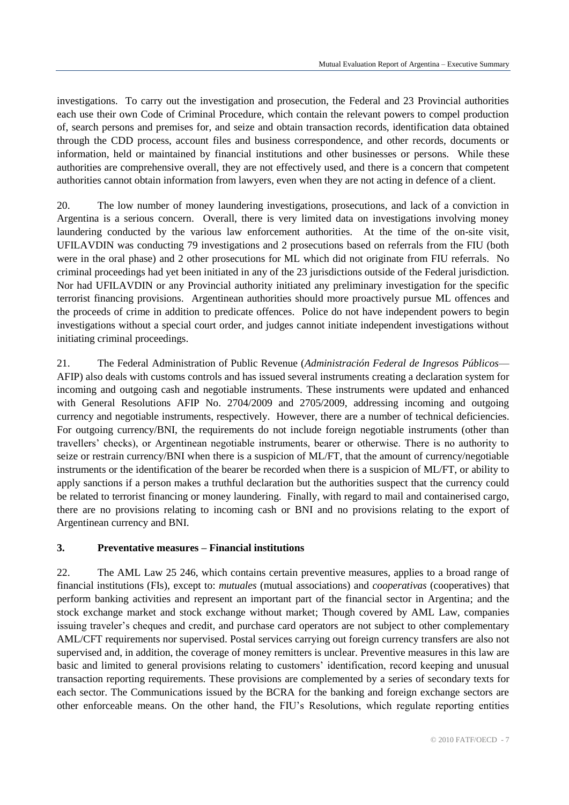investigations. To carry out the investigation and prosecution, the Federal and 23 Provincial authorities each use their own Code of Criminal Procedure, which contain the relevant powers to compel production of, search persons and premises for, and seize and obtain transaction records, identification data obtained through the CDD process, account files and business correspondence, and other records, documents or information, held or maintained by financial institutions and other businesses or persons. While these authorities are comprehensive overall, they are not effectively used, and there is a concern that competent authorities cannot obtain information from lawyers, even when they are not acting in defence of a client.

20. The low number of money laundering investigations, prosecutions, and lack of a conviction in Argentina is a serious concern. Overall, there is very limited data on investigations involving money laundering conducted by the various law enforcement authorities. At the time of the on-site visit, UFILAVDIN was conducting 79 investigations and 2 prosecutions based on referrals from the FIU (both were in the oral phase) and 2 other prosecutions for ML which did not originate from FIU referrals. No criminal proceedings had yet been initiated in any of the 23 jurisdictions outside of the Federal jurisdiction. Nor had UFILAVDIN or any Provincial authority initiated any preliminary investigation for the specific terrorist financing provisions. Argentinean authorities should more proactively pursue ML offences and the proceeds of crime in addition to predicate offences. Police do not have independent powers to begin investigations without a special court order, and judges cannot initiate independent investigations without initiating criminal proceedings.

21. The Federal Administration of Public Revenue (*Administración Federal de Ingresos Públicos*— AFIP) also deals with customs controls and has issued several instruments creating a declaration system for incoming and outgoing cash and negotiable instruments. These instruments were updated and enhanced with General Resolutions AFIP No. 2704/2009 and 2705/2009, addressing incoming and outgoing currency and negotiable instruments, respectively. However, there are a number of technical deficiencies. For outgoing currency/BNI, the requirements do not include foreign negotiable instruments (other than travellers' checks), or Argentinean negotiable instruments, bearer or otherwise. There is no authority to seize or restrain currency/BNI when there is a suspicion of ML/FT, that the amount of currency/negotiable instruments or the identification of the bearer be recorded when there is a suspicion of ML/FT, or ability to apply sanctions if a person makes a truthful declaration but the authorities suspect that the currency could be related to terrorist financing or money laundering. Finally, with regard to mail and containerised cargo, there are no provisions relating to incoming cash or BNI and no provisions relating to the export of Argentinean currency and BNI.

#### **3. Preventative measures – Financial institutions**

22. The AML Law 25 246, which contains certain preventive measures, applies to a broad range of financial institutions (FIs), except to: *mutuales* (mutual associations) and *cooperativas* (cooperatives) that perform banking activities and represent an important part of the financial sector in Argentina; and the stock exchange market and stock exchange without market; Though covered by AML Law, companies issuing traveler's cheques and credit, and purchase card operators are not subject to other complementary AML/CFT requirements nor supervised. Postal services carrying out foreign currency transfers are also not supervised and, in addition, the coverage of money remitters is unclear. Preventive measures in this law are basic and limited to general provisions relating to customers' identification, record keeping and unusual transaction reporting requirements. These provisions are complemented by a series of secondary texts for each sector. The Communications issued by the BCRA for the banking and foreign exchange sectors are other enforceable means. On the other hand, the FIU's Resolutions, which regulate reporting entities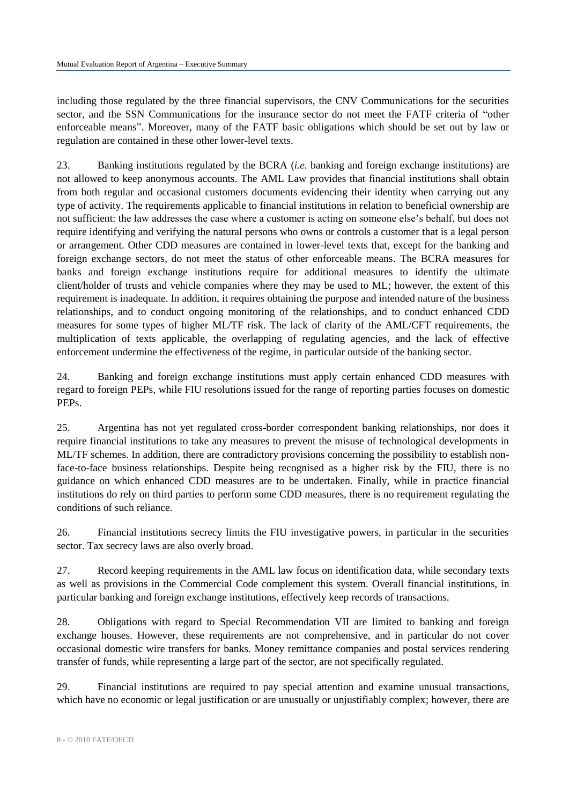including those regulated by the three financial supervisors, the CNV Communications for the securities sector, and the SSN Communications for the insurance sector do not meet the FATF criteria of "other enforceable means". Moreover, many of the FATF basic obligations which should be set out by law or regulation are contained in these other lower-level texts.

23. Banking institutions regulated by the BCRA (*i.e.* banking and foreign exchange institutions) are not allowed to keep anonymous accounts. The AML Law provides that financial institutions shall obtain from both regular and occasional customers documents evidencing their identity when carrying out any type of activity. The requirements applicable to financial institutions in relation to beneficial ownership are not sufficient: the law addresses the case where a customer is acting on someone else's behalf, but does not require identifying and verifying the natural persons who owns or controls a customer that is a legal person or arrangement. Other CDD measures are contained in lower-level texts that, except for the banking and foreign exchange sectors, do not meet the status of other enforceable means. The BCRA measures for banks and foreign exchange institutions require for additional measures to identify the ultimate client/holder of trusts and vehicle companies where they may be used to ML; however, the extent of this requirement is inadequate. In addition, it requires obtaining the purpose and intended nature of the business relationships, and to conduct ongoing monitoring of the relationships, and to conduct enhanced CDD measures for some types of higher ML/TF risk. The lack of clarity of the AML/CFT requirements, the multiplication of texts applicable, the overlapping of regulating agencies, and the lack of effective enforcement undermine the effectiveness of the regime, in particular outside of the banking sector.

24. Banking and foreign exchange institutions must apply certain enhanced CDD measures with regard to foreign PEPs, while FIU resolutions issued for the range of reporting parties focuses on domestic PEPs.

25. Argentina has not yet regulated cross-border correspondent banking relationships, nor does it require financial institutions to take any measures to prevent the misuse of technological developments in ML/TF schemes. In addition, there are contradictory provisions concerning the possibility to establish nonface-to-face business relationships. Despite being recognised as a higher risk by the FIU, there is no guidance on which enhanced CDD measures are to be undertaken. Finally, while in practice financial institutions do rely on third parties to perform some CDD measures, there is no requirement regulating the conditions of such reliance.

26. Financial institutions secrecy limits the FIU investigative powers, in particular in the securities sector. Tax secrecy laws are also overly broad.

27. Record keeping requirements in the AML law focus on identification data, while secondary texts as well as provisions in the Commercial Code complement this system. Overall financial institutions, in particular banking and foreign exchange institutions, effectively keep records of transactions.

28. Obligations with regard to Special Recommendation VII are limited to banking and foreign exchange houses. However, these requirements are not comprehensive, and in particular do not cover occasional domestic wire transfers for banks. Money remittance companies and postal services rendering transfer of funds, while representing a large part of the sector, are not specifically regulated.

29. Financial institutions are required to pay special attention and examine unusual transactions, which have no economic or legal justification or are unusually or unjustifiably complex; however, there are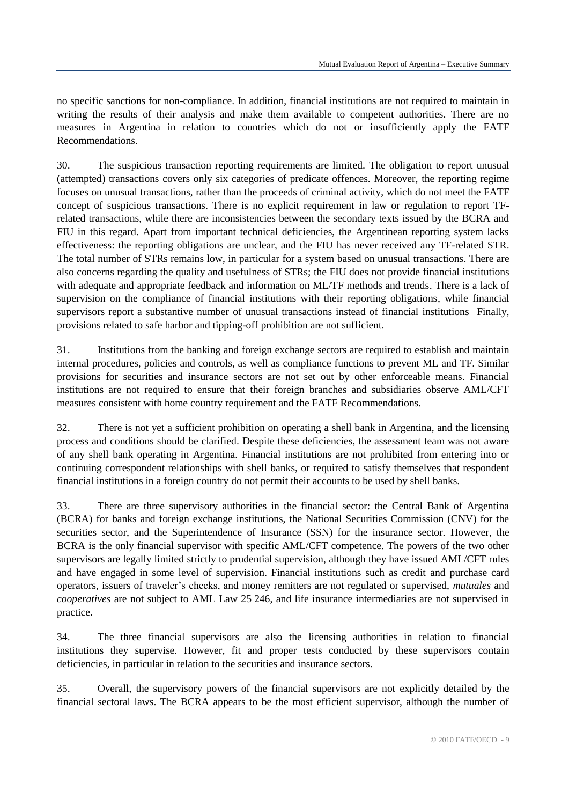no specific sanctions for non-compliance. In addition, financial institutions are not required to maintain in writing the results of their analysis and make them available to competent authorities. There are no measures in Argentina in relation to countries which do not or insufficiently apply the FATF Recommendations.

30. The suspicious transaction reporting requirements are limited. The obligation to report unusual (attempted) transactions covers only six categories of predicate offences. Moreover, the reporting regime focuses on unusual transactions, rather than the proceeds of criminal activity, which do not meet the FATF concept of suspicious transactions. There is no explicit requirement in law or regulation to report TFrelated transactions, while there are inconsistencies between the secondary texts issued by the BCRA and FIU in this regard. Apart from important technical deficiencies, the Argentinean reporting system lacks effectiveness: the reporting obligations are unclear, and the FIU has never received any TF-related STR. The total number of STRs remains low, in particular for a system based on unusual transactions. There are also concerns regarding the quality and usefulness of STRs; the FIU does not provide financial institutions with adequate and appropriate feedback and information on ML/TF methods and trends. There is a lack of supervision on the compliance of financial institutions with their reporting obligations, while financial supervisors report a substantive number of unusual transactions instead of financial institutions Finally, provisions related to safe harbor and tipping-off prohibition are not sufficient.

31. Institutions from the banking and foreign exchange sectors are required to establish and maintain internal procedures, policies and controls, as well as compliance functions to prevent ML and TF. Similar provisions for securities and insurance sectors are not set out by other enforceable means. Financial institutions are not required to ensure that their foreign branches and subsidiaries observe AML/CFT measures consistent with home country requirement and the FATF Recommendations.

32. There is not yet a sufficient prohibition on operating a shell bank in Argentina, and the licensing process and conditions should be clarified. Despite these deficiencies, the assessment team was not aware of any shell bank operating in Argentina. Financial institutions are not prohibited from entering into or continuing correspondent relationships with shell banks, or required to satisfy themselves that respondent financial institutions in a foreign country do not permit their accounts to be used by shell banks.

33. There are three supervisory authorities in the financial sector: the Central Bank of Argentina (BCRA) for banks and foreign exchange institutions, the National Securities Commission (CNV) for the securities sector, and the Superintendence of Insurance (SSN) for the insurance sector. However, the BCRA is the only financial supervisor with specific AML/CFT competence. The powers of the two other supervisors are legally limited strictly to prudential supervision, although they have issued AML/CFT rules and have engaged in some level of supervision. Financial institutions such as credit and purchase card operators, issuers of traveler's checks, and money remitters are not regulated or supervised, *mutuales* and *cooperatives* are not subject to AML Law 25 246, and life insurance intermediaries are not supervised in practice.

34. The three financial supervisors are also the licensing authorities in relation to financial institutions they supervise. However, fit and proper tests conducted by these supervisors contain deficiencies, in particular in relation to the securities and insurance sectors.

35. Overall, the supervisory powers of the financial supervisors are not explicitly detailed by the financial sectoral laws. The BCRA appears to be the most efficient supervisor, although the number of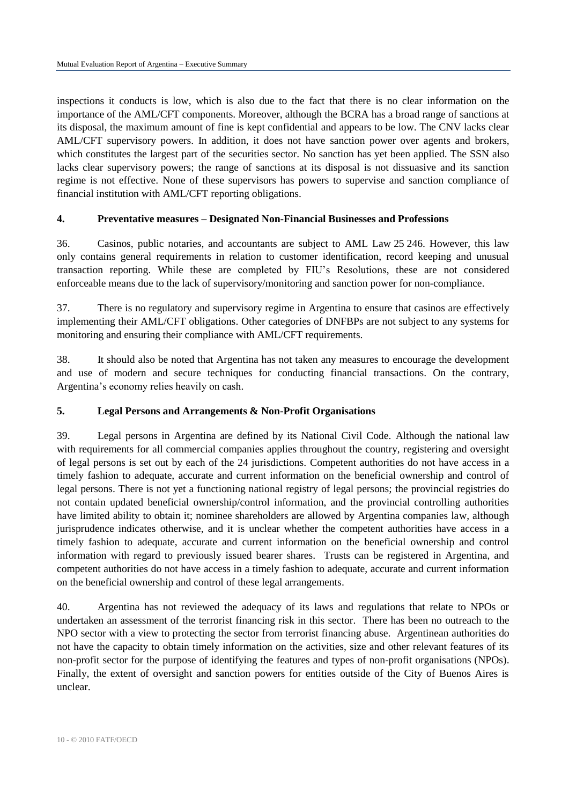inspections it conducts is low, which is also due to the fact that there is no clear information on the importance of the AML/CFT components. Moreover, although the BCRA has a broad range of sanctions at its disposal, the maximum amount of fine is kept confidential and appears to be low. The CNV lacks clear AML/CFT supervisory powers. In addition, it does not have sanction power over agents and brokers, which constitutes the largest part of the securities sector. No sanction has yet been applied. The SSN also lacks clear supervisory powers; the range of sanctions at its disposal is not dissuasive and its sanction regime is not effective. None of these supervisors has powers to supervise and sanction compliance of financial institution with AML/CFT reporting obligations.

## **4. Preventative measures – Designated Non-Financial Businesses and Professions**

36. Casinos, public notaries, and accountants are subject to AML Law 25 246. However, this law only contains general requirements in relation to customer identification, record keeping and unusual transaction reporting. While these are completed by FIU's Resolutions, these are not considered enforceable means due to the lack of supervisory/monitoring and sanction power for non-compliance.

37. There is no regulatory and supervisory regime in Argentina to ensure that casinos are effectively implementing their AML/CFT obligations. Other categories of DNFBPs are not subject to any systems for monitoring and ensuring their compliance with AML/CFT requirements.

38. It should also be noted that Argentina has not taken any measures to encourage the development and use of modern and secure techniques for conducting financial transactions. On the contrary, Argentina's economy relies heavily on cash.

#### **5. Legal Persons and Arrangements & Non-Profit Organisations**

39. Legal persons in Argentina are defined by its National Civil Code. Although the national law with requirements for all commercial companies applies throughout the country, registering and oversight of legal persons is set out by each of the 24 jurisdictions. Competent authorities do not have access in a timely fashion to adequate, accurate and current information on the beneficial ownership and control of legal persons. There is not yet a functioning national registry of legal persons; the provincial registries do not contain updated beneficial ownership/control information, and the provincial controlling authorities have limited ability to obtain it; nominee shareholders are allowed by Argentina companies law, although jurisprudence indicates otherwise, and it is unclear whether the competent authorities have access in a timely fashion to adequate, accurate and current information on the beneficial ownership and control information with regard to previously issued bearer shares. Trusts can be registered in Argentina, and competent authorities do not have access in a timely fashion to adequate, accurate and current information on the beneficial ownership and control of these legal arrangements.

40. Argentina has not reviewed the adequacy of its laws and regulations that relate to NPOs or undertaken an assessment of the terrorist financing risk in this sector. There has been no outreach to the NPO sector with a view to protecting the sector from terrorist financing abuse. Argentinean authorities do not have the capacity to obtain timely information on the activities, size and other relevant features of its non-profit sector for the purpose of identifying the features and types of non-profit organisations (NPOs). Finally, the extent of oversight and sanction powers for entities outside of the City of Buenos Aires is unclear.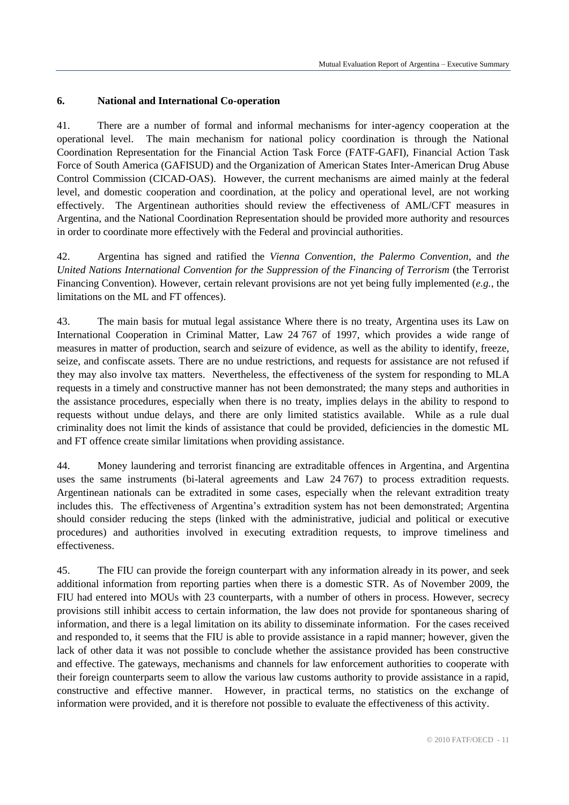## **6. National and International Co-operation**

41. There are a number of formal and informal mechanisms for inter-agency cooperation at the operational level. The main mechanism for national policy coordination is through the National Coordination Representation for the Financial Action Task Force (FATF-GAFI), Financial Action Task Force of South America (GAFISUD) and the Organization of American States Inter-American Drug Abuse Control Commission (CICAD-OAS). However, the current mechanisms are aimed mainly at the federal level, and domestic cooperation and coordination, at the policy and operational level, are not working effectively. The Argentinean authorities should review the effectiveness of AML/CFT measures in Argentina, and the National Coordination Representation should be provided more authority and resources in order to coordinate more effectively with the Federal and provincial authorities.

42. Argentina has signed and ratified the *Vienna Convention*, *the Palermo Convention*, and *the United Nations International Convention for the Suppression of the Financing of Terrorism* (the Terrorist Financing Convention). However, certain relevant provisions are not yet being fully implemented (*e.g.*, the limitations on the ML and FT offences).

43. The main basis for mutual legal assistance Where there is no treaty, Argentina uses its Law on International Cooperation in Criminal Matter, Law 24 767 of 1997, which provides a wide range of measures in matter of production, search and seizure of evidence, as well as the ability to identify, freeze, seize, and confiscate assets. There are no undue restrictions, and requests for assistance are not refused if they may also involve tax matters. Nevertheless, the effectiveness of the system for responding to MLA requests in a timely and constructive manner has not been demonstrated; the many steps and authorities in the assistance procedures, especially when there is no treaty, implies delays in the ability to respond to requests without undue delays, and there are only limited statistics available. While as a rule dual criminality does not limit the kinds of assistance that could be provided, deficiencies in the domestic ML and FT offence create similar limitations when providing assistance.

44. Money laundering and terrorist financing are extraditable offences in Argentina, and Argentina uses the same instruments (bi-lateral agreements and Law 24 767) to process extradition requests. Argentinean nationals can be extradited in some cases, especially when the relevant extradition treaty includes this. The effectiveness of Argentina's extradition system has not been demonstrated; Argentina should consider reducing the steps (linked with the administrative, judicial and political or executive procedures) and authorities involved in executing extradition requests, to improve timeliness and effectiveness.

45. The FIU can provide the foreign counterpart with any information already in its power, and seek additional information from reporting parties when there is a domestic STR. As of November 2009, the FIU had entered into MOUs with 23 counterparts, with a number of others in process. However, secrecy provisions still inhibit access to certain information, the law does not provide for spontaneous sharing of information, and there is a legal limitation on its ability to disseminate information. For the cases received and responded to, it seems that the FIU is able to provide assistance in a rapid manner; however, given the lack of other data it was not possible to conclude whether the assistance provided has been constructive and effective. The gateways, mechanisms and channels for law enforcement authorities to cooperate with their foreign counterparts seem to allow the various law customs authority to provide assistance in a rapid, constructive and effective manner. However, in practical terms, no statistics on the exchange of information were provided, and it is therefore not possible to evaluate the effectiveness of this activity.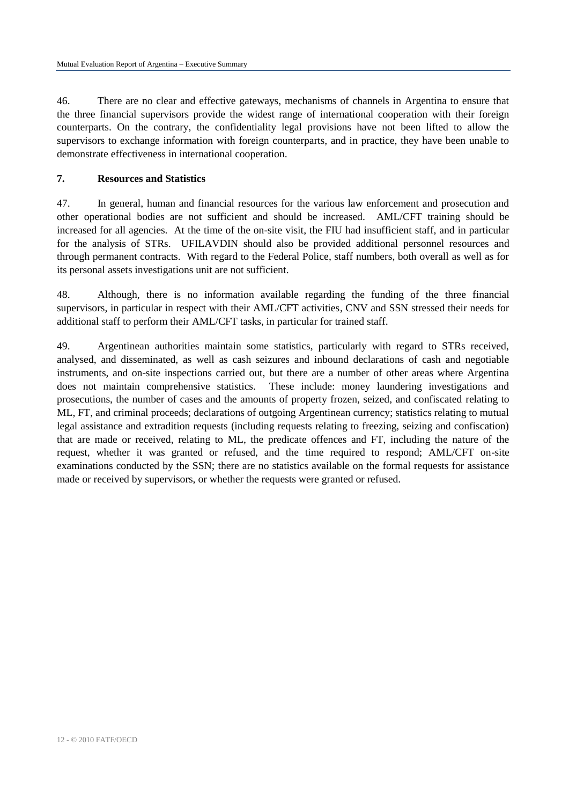46. There are no clear and effective gateways, mechanisms of channels in Argentina to ensure that the three financial supervisors provide the widest range of international cooperation with their foreign counterparts. On the contrary, the confidentiality legal provisions have not been lifted to allow the supervisors to exchange information with foreign counterparts, and in practice, they have been unable to demonstrate effectiveness in international cooperation.

## **7. Resources and Statistics**

47. In general, human and financial resources for the various law enforcement and prosecution and other operational bodies are not sufficient and should be increased. AML/CFT training should be increased for all agencies. At the time of the on-site visit, the FIU had insufficient staff, and in particular for the analysis of STRs. UFILAVDIN should also be provided additional personnel resources and through permanent contracts. With regard to the Federal Police, staff numbers, both overall as well as for its personal assets investigations unit are not sufficient.

48. Although, there is no information available regarding the funding of the three financial supervisors, in particular in respect with their AML/CFT activities, CNV and SSN stressed their needs for additional staff to perform their AML/CFT tasks, in particular for trained staff.

49. Argentinean authorities maintain some statistics, particularly with regard to STRs received, analysed, and disseminated, as well as cash seizures and inbound declarations of cash and negotiable instruments, and on-site inspections carried out, but there are a number of other areas where Argentina does not maintain comprehensive statistics. These include: money laundering investigations and prosecutions, the number of cases and the amounts of property frozen, seized, and confiscated relating to ML, FT, and criminal proceeds; declarations of outgoing Argentinean currency; statistics relating to mutual legal assistance and extradition requests (including requests relating to freezing, seizing and confiscation) that are made or received, relating to ML, the predicate offences and FT, including the nature of the request, whether it was granted or refused, and the time required to respond; AML/CFT on-site examinations conducted by the SSN; there are no statistics available on the formal requests for assistance made or received by supervisors, or whether the requests were granted or refused.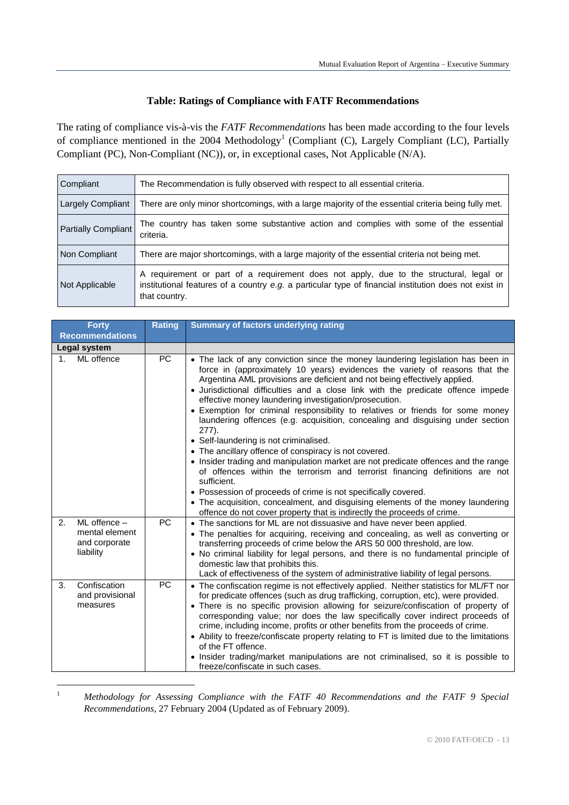## **Table: Ratings of Compliance with FATF Recommendations**

The rating of compliance vis-à-vis the *FATF Recommendations* has been made according to the four levels of compliance mentioned in the 2004 Methodology<sup>1</sup> (Compliant (C), Largely Compliant (LC), Partially Compliant (PC), Non-Compliant (NC)), or, in exceptional cases, Not Applicable (N/A).

| Compliant                  | The Recommendation is fully observed with respect to all essential criteria.                                                                                                                                       |  |
|----------------------------|--------------------------------------------------------------------------------------------------------------------------------------------------------------------------------------------------------------------|--|
| Largely Compliant          | There are only minor shortcomings, with a large majority of the essential criteria being fully met.                                                                                                                |  |
| <b>Partially Compliant</b> | The country has taken some substantive action and complies with some of the essential<br>criteria.                                                                                                                 |  |
| Non Compliant              | There are major shortcomings, with a large majority of the essential criteria not being met.                                                                                                                       |  |
| Not Applicable             | A requirement or part of a requirement does not apply, due to the structural, legal or<br>institutional features of a country $e.g.$ a particular type of financial institution does not exist in<br>that country. |  |

| <b>Forty</b>                                                           | <b>Rating</b> | <b>Summary of factors underlying rating</b>                                                                                                                                                                                                                                                                                                                                                                                                                                                                                                                                                                                                                                                                                                                                                                                                                                                                                                                                                                                                                                                   |
|------------------------------------------------------------------------|---------------|-----------------------------------------------------------------------------------------------------------------------------------------------------------------------------------------------------------------------------------------------------------------------------------------------------------------------------------------------------------------------------------------------------------------------------------------------------------------------------------------------------------------------------------------------------------------------------------------------------------------------------------------------------------------------------------------------------------------------------------------------------------------------------------------------------------------------------------------------------------------------------------------------------------------------------------------------------------------------------------------------------------------------------------------------------------------------------------------------|
| <b>Recommendations</b>                                                 |               |                                                                                                                                                                                                                                                                                                                                                                                                                                                                                                                                                                                                                                                                                                                                                                                                                                                                                                                                                                                                                                                                                               |
| Legal system                                                           |               |                                                                                                                                                                                                                                                                                                                                                                                                                                                                                                                                                                                                                                                                                                                                                                                                                                                                                                                                                                                                                                                                                               |
| ML offence<br>$1_{\cdot}$                                              | PC            | • The lack of any conviction since the money laundering legislation has been in<br>force in (approximately 10 years) evidences the variety of reasons that the<br>Argentina AML provisions are deficient and not being effectively applied.<br>• Jurisdictional difficulties and a close link with the predicate offence impede<br>effective money laundering investigation/prosecution.<br>• Exemption for criminal responsibility to relatives or friends for some money<br>laundering offences (e.g. acquisition, concealing and disguising under section<br>277).<br>• Self-laundering is not criminalised.<br>• The ancillary offence of conspiracy is not covered.<br>• Insider trading and manipulation market are not predicate offences and the range<br>of offences within the terrorism and terrorist financing definitions are not<br>sufficient.<br>• Possession of proceeds of crime is not specifically covered.<br>• The acquisition, concealment, and disguising elements of the money laundering<br>offence do not cover property that is indirectly the proceeds of crime. |
| $ML$ offence $-$<br>2.<br>mental element<br>and corporate<br>liability | <b>PC</b>     | • The sanctions for ML are not dissuasive and have never been applied.<br>• The penalties for acquiring, receiving and concealing, as well as converting or<br>transferring proceeds of crime below the ARS 50 000 threshold, are low.<br>• No criminal liability for legal persons, and there is no fundamental principle of<br>domestic law that prohibits this.<br>Lack of effectiveness of the system of administrative liability of legal persons.                                                                                                                                                                                                                                                                                                                                                                                                                                                                                                                                                                                                                                       |
| Confiscation<br>3.<br>and provisional<br>measures                      | <b>PC</b>     | • The confiscation regime is not effectively applied. Neither statistics for ML/FT nor<br>for predicate offences (such as drug trafficking, corruption, etc), were provided.<br>• There is no specific provision allowing for seizure/confiscation of property of<br>corresponding value; nor does the law specifically cover indirect proceeds of<br>crime, including income, profits or other benefits from the proceeds of crime.<br>• Ability to freeze/confiscate property relating to FT is limited due to the limitations<br>of the FT offence.<br>• Insider trading/market manipulations are not criminalised, so it is possible to<br>freeze/confiscate in such cases.                                                                                                                                                                                                                                                                                                                                                                                                               |

 $\bar{1}$ <sup>1</sup> *Methodology for Assessing Compliance with the FATF 40 Recommendations and the FATF 9 Special Recommendations*, 27 February 2004 (Updated as of February 2009).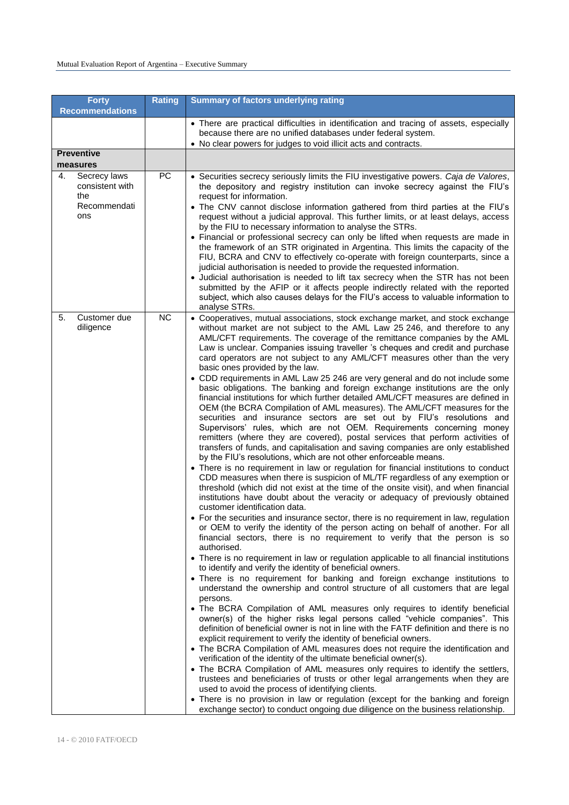|                   | <b>Forty</b><br><b>Recommendations</b>          | <b>Rating</b> | <b>Summary of factors underlying rating</b>                                                                                                                                                                                                                                                                                                                                                                                                                                                                                                                                                                                                                                                                                                                                                                                                                                                                                                                                                                                                                                                                                                                                                                                                                                                                                                                                                                                                                                                                                                                                                                                                                                                                                                                                                                                                                                                                                                                                                                                                                                                                                                                                                                                                                                                                                                                                                                                                                                                                                                                                                                                                                                                                                                                                                                                                                                                                                                                                                                                                                   |
|-------------------|-------------------------------------------------|---------------|---------------------------------------------------------------------------------------------------------------------------------------------------------------------------------------------------------------------------------------------------------------------------------------------------------------------------------------------------------------------------------------------------------------------------------------------------------------------------------------------------------------------------------------------------------------------------------------------------------------------------------------------------------------------------------------------------------------------------------------------------------------------------------------------------------------------------------------------------------------------------------------------------------------------------------------------------------------------------------------------------------------------------------------------------------------------------------------------------------------------------------------------------------------------------------------------------------------------------------------------------------------------------------------------------------------------------------------------------------------------------------------------------------------------------------------------------------------------------------------------------------------------------------------------------------------------------------------------------------------------------------------------------------------------------------------------------------------------------------------------------------------------------------------------------------------------------------------------------------------------------------------------------------------------------------------------------------------------------------------------------------------------------------------------------------------------------------------------------------------------------------------------------------------------------------------------------------------------------------------------------------------------------------------------------------------------------------------------------------------------------------------------------------------------------------------------------------------------------------------------------------------------------------------------------------------------------------------------------------------------------------------------------------------------------------------------------------------------------------------------------------------------------------------------------------------------------------------------------------------------------------------------------------------------------------------------------------------------------------------------------------------------------------------------------------------|
|                   |                                                 |               | • There are practical difficulties in identification and tracing of assets, especially<br>because there are no unified databases under federal system.<br>• No clear powers for judges to void illicit acts and contracts.                                                                                                                                                                                                                                                                                                                                                                                                                                                                                                                                                                                                                                                                                                                                                                                                                                                                                                                                                                                                                                                                                                                                                                                                                                                                                                                                                                                                                                                                                                                                                                                                                                                                                                                                                                                                                                                                                                                                                                                                                                                                                                                                                                                                                                                                                                                                                                                                                                                                                                                                                                                                                                                                                                                                                                                                                                    |
| <b>Preventive</b> |                                                 |               |                                                                                                                                                                                                                                                                                                                                                                                                                                                                                                                                                                                                                                                                                                                                                                                                                                                                                                                                                                                                                                                                                                                                                                                                                                                                                                                                                                                                                                                                                                                                                                                                                                                                                                                                                                                                                                                                                                                                                                                                                                                                                                                                                                                                                                                                                                                                                                                                                                                                                                                                                                                                                                                                                                                                                                                                                                                                                                                                                                                                                                                               |
| measures          |                                                 |               |                                                                                                                                                                                                                                                                                                                                                                                                                                                                                                                                                                                                                                                                                                                                                                                                                                                                                                                                                                                                                                                                                                                                                                                                                                                                                                                                                                                                                                                                                                                                                                                                                                                                                                                                                                                                                                                                                                                                                                                                                                                                                                                                                                                                                                                                                                                                                                                                                                                                                                                                                                                                                                                                                                                                                                                                                                                                                                                                                                                                                                                               |
| 4.<br>the<br>ons  | Secrecy laws<br>consistent with<br>Recommendati | PC            | • Securities secrecy seriously limits the FIU investigative powers. Caja de Valores,<br>the depository and registry institution can invoke secrecy against the FIU's<br>request for information.<br>• The CNV cannot disclose information gathered from third parties at the FIU's<br>request without a judicial approval. This further limits, or at least delays, access<br>by the FIU to necessary information to analyse the STRs.<br>• Financial or professional secrecy can only be lifted when requests are made in<br>the framework of an STR originated in Argentina. This limits the capacity of the<br>FIU, BCRA and CNV to effectively co-operate with foreign counterparts, since a<br>judicial authorisation is needed to provide the requested information.<br>• Judicial authorisation is needed to lift tax secrecy when the STR has not been<br>submitted by the AFIP or it affects people indirectly related with the reported<br>subject, which also causes delays for the FIU's access to valuable information to<br>analyse STRs.                                                                                                                                                                                                                                                                                                                                                                                                                                                                                                                                                                                                                                                                                                                                                                                                                                                                                                                                                                                                                                                                                                                                                                                                                                                                                                                                                                                                                                                                                                                                                                                                                                                                                                                                                                                                                                                                                                                                                                                                       |
| 5.<br>diligence   | Customer due                                    | <b>NC</b>     | • Cooperatives, mutual associations, stock exchange market, and stock exchange<br>without market are not subject to the AML Law 25 246, and therefore to any<br>AML/CFT requirements. The coverage of the remittance companies by the AML<br>Law is unclear. Companies issuing traveller 's cheques and credit and purchase<br>card operators are not subject to any AML/CFT measures other than the very<br>basic ones provided by the law.<br>• CDD requirements in AML Law 25 246 are very general and do not include some<br>basic obligations. The banking and foreign exchange institutions are the only<br>financial institutions for which further detailed AML/CFT measures are defined in<br>OEM (the BCRA Compilation of AML measures). The AML/CFT measures for the<br>securities and insurance sectors are set out by FIU's resolutions and<br>Supervisors' rules, which are not OEM. Requirements concerning money<br>remitters (where they are covered), postal services that perform activities of<br>transfers of funds, and capitalisation and saving companies are only established<br>by the FIU's resolutions, which are not other enforceable means.<br>• There is no requirement in law or regulation for financial institutions to conduct<br>CDD measures when there is suspicion of ML/TF regardless of any exemption or<br>threshold (which did not exist at the time of the onsite visit), and when financial<br>institutions have doubt about the veracity or adequacy of previously obtained<br>customer identification data.<br>• For the securities and insurance sector, there is no requirement in law, regulation<br>or OEM to verify the identity of the person acting on behalf of another. For all<br>financial sectors, there is no requirement to verify that the person is so<br>authorised.<br>• There is no requirement in law or regulation applicable to all financial institutions<br>to identify and verify the identity of beneficial owners.<br>• There is no requirement for banking and foreign exchange institutions to<br>understand the ownership and control structure of all customers that are legal<br>persons.<br>• The BCRA Compilation of AML measures only requires to identify beneficial<br>owner(s) of the higher risks legal persons called "vehicle companies". This<br>definition of beneficial owner is not in line with the FATF definition and there is no<br>explicit requirement to verify the identity of beneficial owners.<br>• The BCRA Compilation of AML measures does not require the identification and<br>verification of the identity of the ultimate beneficial owner(s).<br>• The BCRA Compilation of AML measures only requires to identify the settlers,<br>trustees and beneficiaries of trusts or other legal arrangements when they are<br>used to avoid the process of identifying clients.<br>• There is no provision in law or regulation (except for the banking and foreign<br>exchange sector) to conduct ongoing due diligence on the business relationship. |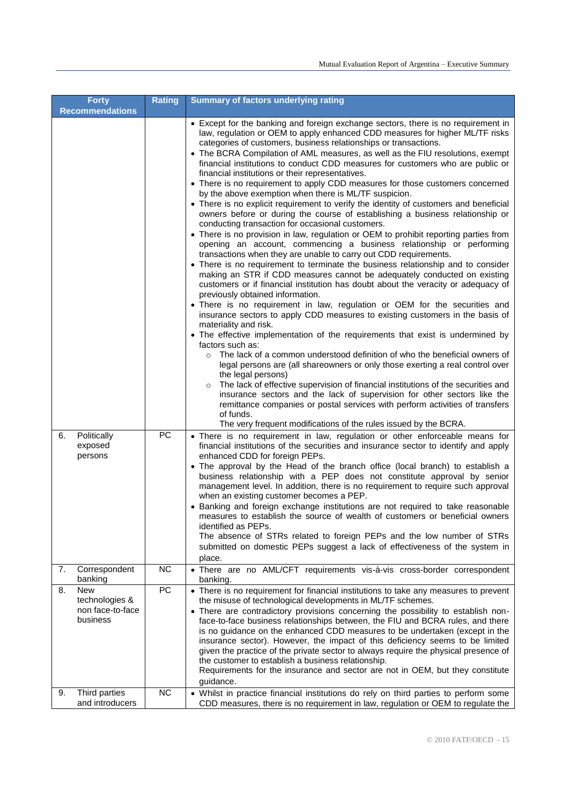|    | <b>Forty</b><br><b>Recommendations</b>                | <b>Rating</b>   | <b>Summary of factors underlying rating</b>                                                                                                                                                                                                                                                                                                                                                                                                                                                                                                                                                                                                                                                                                                                                                                                                                                                                                                                                                                                                                                                                                                                                                                                                                                                                                                                                                                                                                                                                                                                                                                                                                                                                                                                                                                                                                                                                                                                                                                                                                                                                                                                                                                   |
|----|-------------------------------------------------------|-----------------|---------------------------------------------------------------------------------------------------------------------------------------------------------------------------------------------------------------------------------------------------------------------------------------------------------------------------------------------------------------------------------------------------------------------------------------------------------------------------------------------------------------------------------------------------------------------------------------------------------------------------------------------------------------------------------------------------------------------------------------------------------------------------------------------------------------------------------------------------------------------------------------------------------------------------------------------------------------------------------------------------------------------------------------------------------------------------------------------------------------------------------------------------------------------------------------------------------------------------------------------------------------------------------------------------------------------------------------------------------------------------------------------------------------------------------------------------------------------------------------------------------------------------------------------------------------------------------------------------------------------------------------------------------------------------------------------------------------------------------------------------------------------------------------------------------------------------------------------------------------------------------------------------------------------------------------------------------------------------------------------------------------------------------------------------------------------------------------------------------------------------------------------------------------------------------------------------------------|
|    |                                                       |                 | • Except for the banking and foreign exchange sectors, there is no requirement in<br>law, regulation or OEM to apply enhanced CDD measures for higher ML/TF risks<br>categories of customers, business relationships or transactions.<br>• The BCRA Compilation of AML measures, as well as the FIU resolutions, exempt<br>financial institutions to conduct CDD measures for customers who are public or<br>financial institutions or their representatives.<br>• There is no requirement to apply CDD measures for those customers concerned<br>by the above exemption when there is ML/TF suspicion.<br>• There is no explicit requirement to verify the identity of customers and beneficial<br>owners before or during the course of establishing a business relationship or<br>conducting transaction for occasional customers.<br>• There is no provision in law, regulation or OEM to prohibit reporting parties from<br>opening an account, commencing a business relationship or performing<br>transactions when they are unable to carry out CDD requirements.<br>• There is no requirement to terminate the business relationship and to consider<br>making an STR if CDD measures cannot be adequately conducted on existing<br>customers or if financial institution has doubt about the veracity or adequacy of<br>previously obtained information.<br>• There is no requirement in law, regulation or OEM for the securities and<br>insurance sectors to apply CDD measures to existing customers in the basis of<br>materiality and risk.<br>• The effective implementation of the requirements that exist is undermined by<br>factors such as:<br>The lack of a common understood definition of who the beneficial owners of<br>$\circ$<br>legal persons are (all shareowners or only those exerting a real control over<br>the legal persons)<br>The lack of effective supervision of financial institutions of the securities and<br>$\circ$<br>insurance sectors and the lack of supervision for other sectors like the<br>remittance companies or postal services with perform activities of transfers<br>of funds.<br>The very frequent modifications of the rules issued by the BCRA. |
| 6. | Politically<br>exposed<br>persons                     | <b>PC</b>       | • There is no requirement in law, regulation or other enforceable means for<br>financial institutions of the securities and insurance sector to identify and apply<br>enhanced CDD for foreign PEPs.<br>• The approval by the Head of the branch office (local branch) to establish a<br>business relationship with a PEP does not constitute approval by senior<br>management level. In addition, there is no requirement to require such approval<br>when an existing customer becomes a PEP.<br>• Banking and foreign exchange institutions are not required to take reasonable<br>measures to establish the source of wealth of customers or beneficial owners<br>identified as PEPs.<br>The absence of STRs related to foreign PEPs and the low number of STRs<br>submitted on domestic PEPs suggest a lack of effectiveness of the system in<br>place.                                                                                                                                                                                                                                                                                                                                                                                                                                                                                                                                                                                                                                                                                                                                                                                                                                                                                                                                                                                                                                                                                                                                                                                                                                                                                                                                                  |
| 7. | Correspondent<br>banking                              | <b>NC</b>       | · There are no AML/CFT requirements vis-à-vis cross-border correspondent<br>banking.                                                                                                                                                                                                                                                                                                                                                                                                                                                                                                                                                                                                                                                                                                                                                                                                                                                                                                                                                                                                                                                                                                                                                                                                                                                                                                                                                                                                                                                                                                                                                                                                                                                                                                                                                                                                                                                                                                                                                                                                                                                                                                                          |
| 8. | New<br>technologies &<br>non face-to-face<br>business | PC<br><b>NC</b> | • There is no requirement for financial institutions to take any measures to prevent<br>the misuse of technological developments in ML/TF schemes.<br>• There are contradictory provisions concerning the possibility to establish non-<br>face-to-face business relationships between, the FIU and BCRA rules, and there<br>is no guidance on the enhanced CDD measures to be undertaken (except in the<br>insurance sector). However, the impact of this deficiency seems to be limited<br>given the practice of the private sector to always require the physical presence of<br>the customer to establish a business relationship.<br>Requirements for the insurance and sector are not in OEM, but they constitute<br>guidance.                                                                                                                                                                                                                                                                                                                                                                                                                                                                                                                                                                                                                                                                                                                                                                                                                                                                                                                                                                                                                                                                                                                                                                                                                                                                                                                                                                                                                                                                          |
| 9. | Third parties<br>and introducers                      |                 | • Whilst in practice financial institutions do rely on third parties to perform some<br>CDD measures, there is no requirement in law, regulation or OEM to regulate the                                                                                                                                                                                                                                                                                                                                                                                                                                                                                                                                                                                                                                                                                                                                                                                                                                                                                                                                                                                                                                                                                                                                                                                                                                                                                                                                                                                                                                                                                                                                                                                                                                                                                                                                                                                                                                                                                                                                                                                                                                       |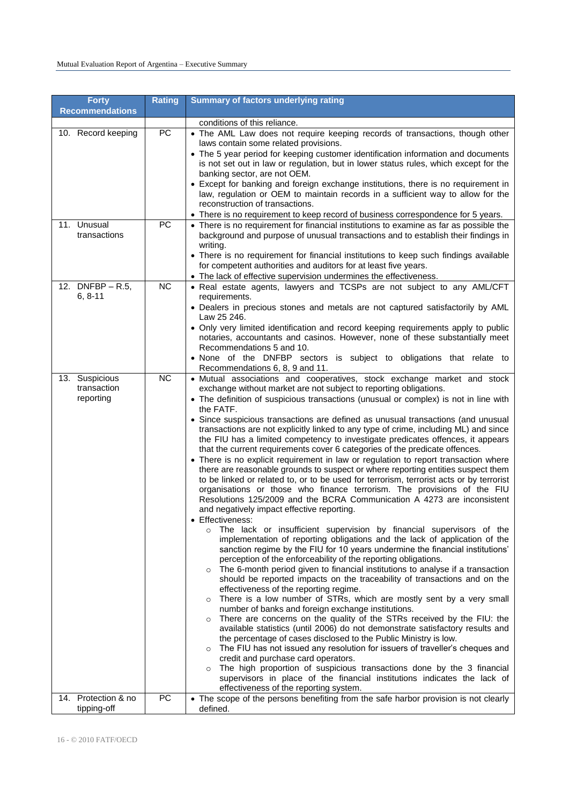| <b>Forty</b><br><b>Recommendations</b>     | <b>Rating</b> | <b>Summary of factors underlying rating</b>                                                                                                                                                                                                                                                                                                                                                                                                                                                                                                                                                                                                                                                                                                                                                                                                                                                                  |
|--------------------------------------------|---------------|--------------------------------------------------------------------------------------------------------------------------------------------------------------------------------------------------------------------------------------------------------------------------------------------------------------------------------------------------------------------------------------------------------------------------------------------------------------------------------------------------------------------------------------------------------------------------------------------------------------------------------------------------------------------------------------------------------------------------------------------------------------------------------------------------------------------------------------------------------------------------------------------------------------|
|                                            |               | conditions of this reliance.                                                                                                                                                                                                                                                                                                                                                                                                                                                                                                                                                                                                                                                                                                                                                                                                                                                                                 |
| 10. Record keeping                         | PC            | • The AML Law does not require keeping records of transactions, though other<br>laws contain some related provisions.<br>• The 5 year period for keeping customer identification information and documents<br>is not set out in law or regulation, but in lower status rules, which except for the<br>banking sector, are not OEM.<br>• Except for banking and foreign exchange institutions, there is no requirement in                                                                                                                                                                                                                                                                                                                                                                                                                                                                                     |
|                                            |               | law, regulation or OEM to maintain records in a sufficient way to allow for the<br>reconstruction of transactions.<br>• There is no requirement to keep record of business correspondence for 5 years.                                                                                                                                                                                                                                                                                                                                                                                                                                                                                                                                                                                                                                                                                                       |
| 11. Unusual<br>transactions                | PC            | • There is no requirement for financial institutions to examine as far as possible the<br>background and purpose of unusual transactions and to establish their findings in<br>writing.<br>• There is no requirement for financial institutions to keep such findings available<br>for competent authorities and auditors for at least five years.<br>• The lack of effective supervision undermines the effectiveness.                                                                                                                                                                                                                                                                                                                                                                                                                                                                                      |
| 12. DNFBP - R.5,                           | <b>NC</b>     | • Real estate agents, lawyers and TCSPs are not subject to any AML/CFT                                                                                                                                                                                                                                                                                                                                                                                                                                                                                                                                                                                                                                                                                                                                                                                                                                       |
| $6, 8-11$                                  |               | requirements.<br>• Dealers in precious stones and metals are not captured satisfactorily by AML<br>Law 25 246.<br>• Only very limited identification and record keeping requirements apply to public<br>notaries, accountants and casinos. However, none of these substantially meet<br>Recommendations 5 and 10.<br>• None of the DNFBP sectors is subject to obligations that relate to<br>Recommendations 6, 8, 9 and 11.                                                                                                                                                                                                                                                                                                                                                                                                                                                                                 |
| 13. Suspicious<br>transaction<br>reporting | <b>NC</b>     | · Mutual associations and cooperatives, stock exchange market and stock<br>exchange without market are not subject to reporting obligations.<br>• The definition of suspicious transactions (unusual or complex) is not in line with<br>the FATF.                                                                                                                                                                                                                                                                                                                                                                                                                                                                                                                                                                                                                                                            |
|                                            |               | • Since suspicious transactions are defined as unusual transactions (and unusual<br>transactions are not explicitly linked to any type of crime, including ML) and since<br>the FIU has a limited competency to investigate predicates offences, it appears<br>that the current requirements cover 6 categories of the predicate offences.<br>• There is no explicit requirement in law or regulation to report transaction where<br>there are reasonable grounds to suspect or where reporting entities suspect them<br>to be linked or related to, or to be used for terrorism, terrorist acts or by terrorist<br>organisations or those who finance terrorism. The provisions of the FIU<br>Resolutions 125/2009 and the BCRA Communication A 4273 are inconsistent<br>and negatively impact effective reporting.<br>Effectiveness:                                                                       |
|                                            |               | The lack or insufficient supervision by financial supervisors of the<br>$\circ$<br>implementation of reporting obligations and the lack of application of the<br>sanction regime by the FIU for 10 years undermine the financial institutions'<br>perception of the enforceability of the reporting obligations.<br>The 6-month period given to financial institutions to analyse if a transaction<br>$\circ$<br>should be reported impacts on the traceability of transactions and on the<br>effectiveness of the reporting regime.<br>There is a low number of STRs, which are mostly sent by a very small<br>number of banks and foreign exchange institutions.<br>There are concerns on the quality of the STRs received by the FIU: the<br>$\circ$<br>available statistics (until 2006) do not demonstrate satisfactory results and<br>the percentage of cases disclosed to the Public Ministry is low. |
|                                            |               | o The FIU has not issued any resolution for issuers of traveller's cheques and<br>credit and purchase card operators.<br>The high proportion of suspicious transactions done by the 3 financial<br>supervisors in place of the financial institutions indicates the lack of<br>effectiveness of the reporting system.                                                                                                                                                                                                                                                                                                                                                                                                                                                                                                                                                                                        |
| 14. Protection & no<br>tipping-off         | PC            | • The scope of the persons benefiting from the safe harbor provision is not clearly<br>defined.                                                                                                                                                                                                                                                                                                                                                                                                                                                                                                                                                                                                                                                                                                                                                                                                              |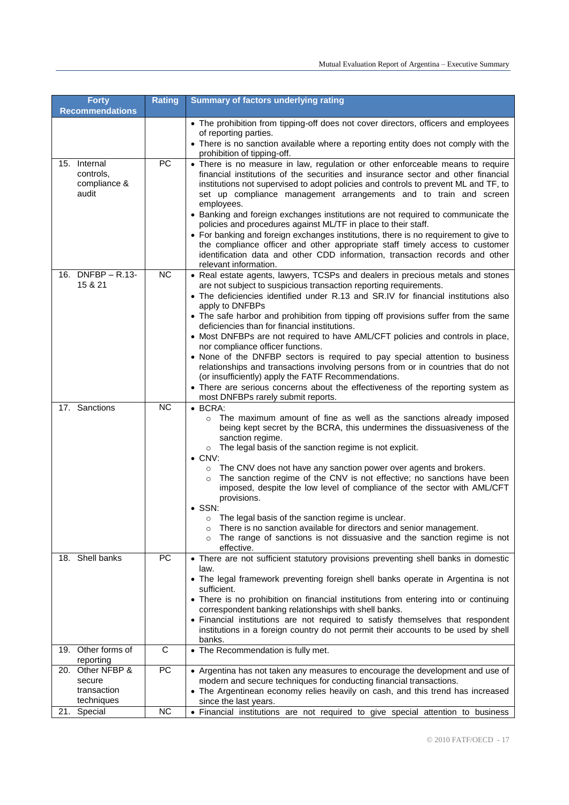| <b>Forty</b>                                            | <b>Rating</b>   | <b>Summary of factors underlying rating</b>                                                                                                                                                                                                                                                                                                                                                                                                                                                                                                                                                                                                                                                                                                                                                                                                                                     |
|---------------------------------------------------------|-----------------|---------------------------------------------------------------------------------------------------------------------------------------------------------------------------------------------------------------------------------------------------------------------------------------------------------------------------------------------------------------------------------------------------------------------------------------------------------------------------------------------------------------------------------------------------------------------------------------------------------------------------------------------------------------------------------------------------------------------------------------------------------------------------------------------------------------------------------------------------------------------------------|
| <b>Recommendations</b>                                  |                 |                                                                                                                                                                                                                                                                                                                                                                                                                                                                                                                                                                                                                                                                                                                                                                                                                                                                                 |
|                                                         |                 | • The prohibition from tipping-off does not cover directors, officers and employees<br>of reporting parties.<br>• There is no sanction available where a reporting entity does not comply with the<br>prohibition of tipping-off.                                                                                                                                                                                                                                                                                                                                                                                                                                                                                                                                                                                                                                               |
| 15. Internal<br>controls.<br>compliance &<br>audit      | <b>PC</b>       | • There is no measure in law, regulation or other enforceable means to require<br>financial institutions of the securities and insurance sector and other financial<br>institutions not supervised to adopt policies and controls to prevent ML and TF, to<br>set up compliance management arrangements and to train and screen<br>employees.<br>• Banking and foreign exchanges institutions are not required to communicate the<br>policies and procedures against ML/TF in place to their staff.<br>• For banking and foreign exchanges institutions, there is no requirement to give to<br>the compliance officer and other appropriate staff timely access to customer<br>identification data and other CDD information, transaction records and other<br>relevant information.                                                                                            |
| 16. DNFBP - R.13-<br>15 & 21                            | <b>NC</b>       | • Real estate agents, lawyers, TCSPs and dealers in precious metals and stones<br>are not subject to suspicious transaction reporting requirements.<br>• The deficiencies identified under R.13 and SR.IV for financial institutions also<br>apply to DNFBPs<br>• The safe harbor and prohibition from tipping off provisions suffer from the same<br>deficiencies than for financial institutions.<br>• Most DNFBPs are not required to have AML/CFT policies and controls in place,<br>nor compliance officer functions.<br>• None of the DNFBP sectors is required to pay special attention to business<br>relationships and transactions involving persons from or in countries that do not<br>(or insufficiently) apply the FATF Recommendations.<br>• There are serious concerns about the effectiveness of the reporting system as<br>most DNFBPs rarely submit reports. |
| 17. Sanctions                                           | <b>NC</b>       | $\bullet$ BCRA:<br>The maximum amount of fine as well as the sanctions already imposed<br>$\circ$<br>being kept secret by the BCRA, this undermines the dissuasiveness of the<br>sanction regime.<br>$\circ$ The legal basis of the sanction regime is not explicit.<br>$\bullet$ CNV:<br>o The CNV does not have any sanction power over agents and brokers.<br>The sanction regime of the CNV is not effective; no sanctions have been<br>imposed, despite the low level of compliance of the sector with AML/CFT<br>provisions.<br>$\bullet$ SSN:<br>The legal basis of the sanction regime is unclear.<br>$\circ$<br>There is no sanction available for directors and senior management.<br>$\circ$<br>The range of sanctions is not dissuasive and the sanction regime is not<br>effective.                                                                                |
| 18. Shell banks                                         | PC              | • There are not sufficient statutory provisions preventing shell banks in domestic<br>law.<br>• The legal framework preventing foreign shell banks operate in Argentina is not<br>sufficient.<br>• There is no prohibition on financial institutions from entering into or continuing<br>correspondent banking relationships with shell banks.<br>• Financial institutions are not required to satisfy themselves that respondent<br>institutions in a foreign country do not permit their accounts to be used by shell<br>banks.                                                                                                                                                                                                                                                                                                                                               |
| 19. Other forms of<br>reporting                         | С               | • The Recommendation is fully met.                                                                                                                                                                                                                                                                                                                                                                                                                                                                                                                                                                                                                                                                                                                                                                                                                                              |
| 20. Other NFBP &<br>secure<br>transaction<br>techniques | $\overline{PC}$ | • Argentina has not taken any measures to encourage the development and use of<br>modern and secure techniques for conducting financial transactions.<br>• The Argentinean economy relies heavily on cash, and this trend has increased<br>since the last years.                                                                                                                                                                                                                                                                                                                                                                                                                                                                                                                                                                                                                |
| 21. Special                                             | <b>NC</b>       | • Financial institutions are not required to give special attention to business                                                                                                                                                                                                                                                                                                                                                                                                                                                                                                                                                                                                                                                                                                                                                                                                 |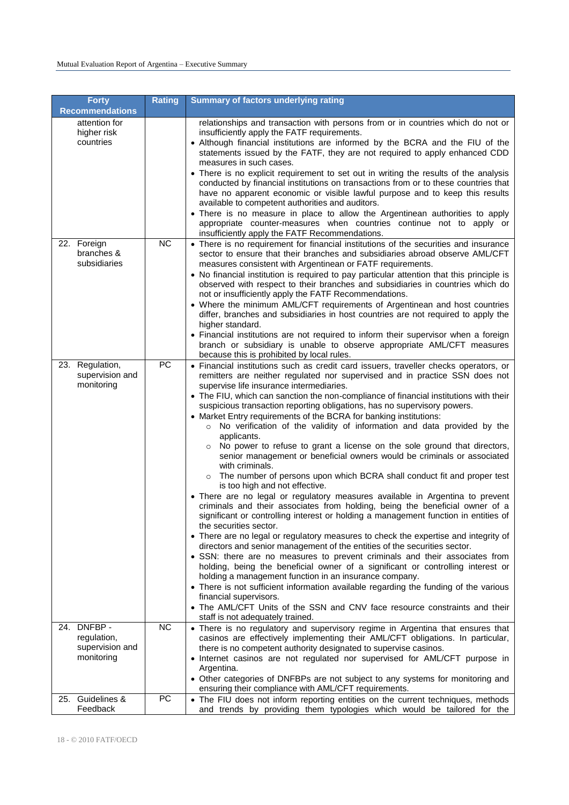| <b>Forty</b><br><b>Recommendations</b>                      | <b>Rating</b> | <b>Summary of factors underlying rating</b>                                                                                                                                                                                                                                                                                                                                                                                                                                                                                                                                                                                                                                                                                                                                                                                                                                                                                                                                                                                                                                                                                                                                                                                                                                                                                                                                                                                                                                                                                                                                                                                                                                                                                                                          |
|-------------------------------------------------------------|---------------|----------------------------------------------------------------------------------------------------------------------------------------------------------------------------------------------------------------------------------------------------------------------------------------------------------------------------------------------------------------------------------------------------------------------------------------------------------------------------------------------------------------------------------------------------------------------------------------------------------------------------------------------------------------------------------------------------------------------------------------------------------------------------------------------------------------------------------------------------------------------------------------------------------------------------------------------------------------------------------------------------------------------------------------------------------------------------------------------------------------------------------------------------------------------------------------------------------------------------------------------------------------------------------------------------------------------------------------------------------------------------------------------------------------------------------------------------------------------------------------------------------------------------------------------------------------------------------------------------------------------------------------------------------------------------------------------------------------------------------------------------------------------|
| attention for<br>higher risk<br>countries                   |               | relationships and transaction with persons from or in countries which do not or<br>insufficiently apply the FATF requirements.<br>• Although financial institutions are informed by the BCRA and the FIU of the<br>statements issued by the FATF, they are not required to apply enhanced CDD<br>measures in such cases.<br>• There is no explicit requirement to set out in writing the results of the analysis<br>conducted by financial institutions on transactions from or to these countries that<br>have no apparent economic or visible lawful purpose and to keep this results<br>available to competent authorities and auditors.<br>• There is no measure in place to allow the Argentinean authorities to apply<br>appropriate counter-measures when countries continue not to apply or<br>insufficiently apply the FATF Recommendations.                                                                                                                                                                                                                                                                                                                                                                                                                                                                                                                                                                                                                                                                                                                                                                                                                                                                                                                |
| 22. Foreign<br>branches &<br>subsidiaries                   | <b>NC</b>     | • There is no requirement for financial institutions of the securities and insurance<br>sector to ensure that their branches and subsidiaries abroad observe AML/CFT<br>measures consistent with Argentinean or FATF requirements.<br>• No financial institution is required to pay particular attention that this principle is<br>observed with respect to their branches and subsidiaries in countries which do<br>not or insufficiently apply the FATF Recommendations.<br>• Where the minimum AML/CFT requirements of Argentinean and host countries<br>differ, branches and subsidiaries in host countries are not required to apply the<br>higher standard.<br>• Financial institutions are not required to inform their supervisor when a foreign<br>branch or subsidiary is unable to observe appropriate AML/CFT measures<br>because this is prohibited by local rules.                                                                                                                                                                                                                                                                                                                                                                                                                                                                                                                                                                                                                                                                                                                                                                                                                                                                                     |
| 23. Regulation,<br>supervision and<br>monitoring            | PC            | • Financial institutions such as credit card issuers, traveller checks operators, or<br>remitters are neither regulated nor supervised and in practice SSN does not<br>supervise life insurance intermediaries.<br>• The FIU, which can sanction the non-compliance of financial institutions with their<br>suspicious transaction reporting obligations, has no supervisory powers.<br>• Market Entry requirements of the BCRA for banking institutions:<br>o No verification of the validity of information and data provided by the<br>applicants.<br>o No power to refuse to grant a license on the sole ground that directors,<br>senior management or beneficial owners would be criminals or associated<br>with criminals.<br>The number of persons upon which BCRA shall conduct fit and proper test<br>is too high and not effective.<br>• There are no legal or regulatory measures available in Argentina to prevent<br>criminals and their associates from holding, being the beneficial owner of a<br>significant or controlling interest or holding a management function in entities of<br>the securities sector.<br>• There are no legal or regulatory measures to check the expertise and integrity of<br>directors and senior management of the entities of the securities sector.<br>• SSN: there are no measures to prevent criminals and their associates from<br>holding, being the beneficial owner of a significant or controlling interest or<br>holding a management function in an insurance company.<br>• There is not sufficient information available regarding the funding of the various<br>financial supervisors.<br>• The AML/CFT Units of the SSN and CNV face resource constraints and their<br>staff is not adequately trained. |
| 24. DNFBP -<br>regulation,<br>supervision and<br>monitoring | <b>NC</b>     | • There is no regulatory and supervisory regime in Argentina that ensures that<br>casinos are effectively implementing their AML/CFT obligations. In particular,<br>there is no competent authority designated to supervise casinos.<br>• Internet casinos are not regulated nor supervised for AML/CFT purpose in<br>Argentina.<br>• Other categories of DNFBPs are not subject to any systems for monitoring and                                                                                                                                                                                                                                                                                                                                                                                                                                                                                                                                                                                                                                                                                                                                                                                                                                                                                                                                                                                                                                                                                                                                                                                                                                                                                                                                                   |
| 25. Guidelines &<br>Feedback                                | PC            | ensuring their compliance with AML/CFT requirements.<br>• The FIU does not inform reporting entities on the current techniques, methods<br>and trends by providing them typologies which would be tailored for the                                                                                                                                                                                                                                                                                                                                                                                                                                                                                                                                                                                                                                                                                                                                                                                                                                                                                                                                                                                                                                                                                                                                                                                                                                                                                                                                                                                                                                                                                                                                                   |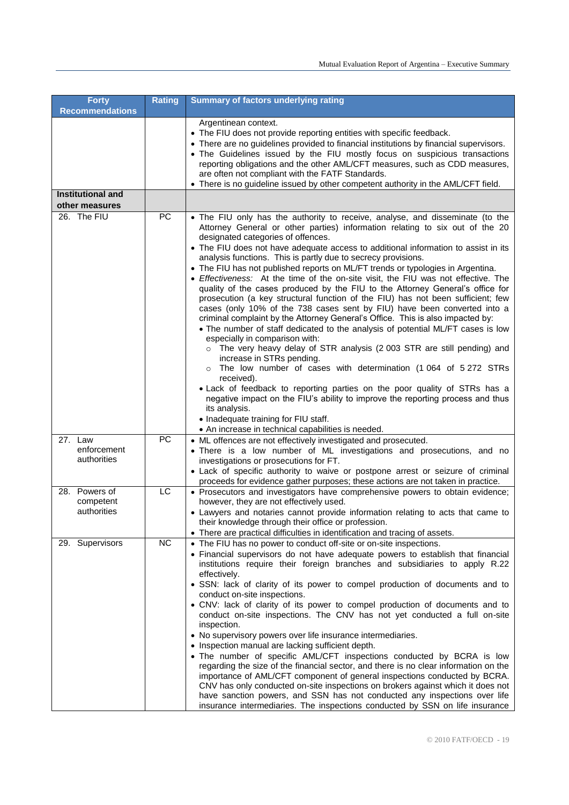| <b>Forty</b>                        | <b>Rating</b> | Summary of factors underlying rating                                                                                                                                                                                                                                                                                                                                                                                                                                                                                                                                                                                                                                                                                                                                                                                                                                                                                                                                                                                                                                                                                                                                                                                                                                                                                                                                                                                                                            |
|-------------------------------------|---------------|-----------------------------------------------------------------------------------------------------------------------------------------------------------------------------------------------------------------------------------------------------------------------------------------------------------------------------------------------------------------------------------------------------------------------------------------------------------------------------------------------------------------------------------------------------------------------------------------------------------------------------------------------------------------------------------------------------------------------------------------------------------------------------------------------------------------------------------------------------------------------------------------------------------------------------------------------------------------------------------------------------------------------------------------------------------------------------------------------------------------------------------------------------------------------------------------------------------------------------------------------------------------------------------------------------------------------------------------------------------------------------------------------------------------------------------------------------------------|
| <b>Recommendations</b>              |               |                                                                                                                                                                                                                                                                                                                                                                                                                                                                                                                                                                                                                                                                                                                                                                                                                                                                                                                                                                                                                                                                                                                                                                                                                                                                                                                                                                                                                                                                 |
|                                     |               | Argentinean context.<br>• The FIU does not provide reporting entities with specific feedback.<br>• There are no guidelines provided to financial institutions by financial supervisors.<br>• The Guidelines issued by the FIU mostly focus on suspicious transactions<br>reporting obligations and the other AML/CFT measures, such as CDD measures,<br>are often not compliant with the FATF Standards.<br>• There is no guideline issued by other competent authority in the AML/CFT field.                                                                                                                                                                                                                                                                                                                                                                                                                                                                                                                                                                                                                                                                                                                                                                                                                                                                                                                                                                   |
| Institutional and<br>other measures |               |                                                                                                                                                                                                                                                                                                                                                                                                                                                                                                                                                                                                                                                                                                                                                                                                                                                                                                                                                                                                                                                                                                                                                                                                                                                                                                                                                                                                                                                                 |
| 26. The FIU                         | PC            |                                                                                                                                                                                                                                                                                                                                                                                                                                                                                                                                                                                                                                                                                                                                                                                                                                                                                                                                                                                                                                                                                                                                                                                                                                                                                                                                                                                                                                                                 |
|                                     |               | • The FIU only has the authority to receive, analyse, and disseminate (to the<br>Attorney General or other parties) information relating to six out of the 20<br>designated categories of offences.<br>• The FIU does not have adequate access to additional information to assist in its<br>analysis functions. This is partly due to secrecy provisions.<br>• The FIU has not published reports on ML/FT trends or typologies in Argentina.<br>• Effectiveness: At the time of the on-site visit, the FIU was not effective. The<br>quality of the cases produced by the FIU to the Attorney General's office for<br>prosecution (a key structural function of the FIU) has not been sufficient; few<br>cases (only 10% of the 738 cases sent by FIU) have been converted into a<br>criminal complaint by the Attorney General's Office. This is also impacted by:<br>• The number of staff dedicated to the analysis of potential ML/FT cases is low<br>especially in comparison with:<br>The very heavy delay of STR analysis (2 003 STR are still pending) and<br>increase in STRs pending.<br>The low number of cases with determination (1 064 of 5 272 STRs<br>received).<br>. Lack of feedback to reporting parties on the poor quality of STRs has a<br>negative impact on the FIU's ability to improve the reporting process and thus<br>its analysis.<br>• Inadequate training for FIU staff.<br>• An increase in technical capabilities is needed. |
| 27. Law                             | PC            | • ML offences are not effectively investigated and prosecuted.                                                                                                                                                                                                                                                                                                                                                                                                                                                                                                                                                                                                                                                                                                                                                                                                                                                                                                                                                                                                                                                                                                                                                                                                                                                                                                                                                                                                  |
| enforcement<br>authorities          |               | . There is a low number of ML investigations and prosecutions, and no<br>investigations or prosecutions for FT.<br>• Lack of specific authority to waive or postpone arrest or seizure of criminal<br>proceeds for evidence gather purposes; these actions are not taken in practice.                                                                                                                                                                                                                                                                                                                                                                                                                                                                                                                                                                                                                                                                                                                                                                                                                                                                                                                                                                                                                                                                                                                                                                           |
| 28. Powers of                       | LC            | • Prosecutors and investigators have comprehensive powers to obtain evidence;                                                                                                                                                                                                                                                                                                                                                                                                                                                                                                                                                                                                                                                                                                                                                                                                                                                                                                                                                                                                                                                                                                                                                                                                                                                                                                                                                                                   |
| competent<br>authorities            |               | however, they are not effectively used.<br>• Lawyers and notaries cannot provide information relating to acts that came to<br>their knowledge through their office or profession.<br>• There are practical difficulties in identification and tracing of assets.                                                                                                                                                                                                                                                                                                                                                                                                                                                                                                                                                                                                                                                                                                                                                                                                                                                                                                                                                                                                                                                                                                                                                                                                |
| 29. Supervisors                     | <b>NC</b>     | • The FIU has no power to conduct off-site or on-site inspections.<br>• Financial supervisors do not have adequate powers to establish that financial<br>institutions require their foreign branches and subsidiaries to apply R.22<br>effectively.<br>• SSN: lack of clarity of its power to compel production of documents and to<br>conduct on-site inspections.<br>• CNV: lack of clarity of its power to compel production of documents and to<br>conduct on-site inspections. The CNV has not yet conducted a full on-site<br>inspection.<br>• No supervisory powers over life insurance intermediaries.<br>• Inspection manual are lacking sufficient depth.<br>• The number of specific AML/CFT inspections conducted by BCRA is low<br>regarding the size of the financial sector, and there is no clear information on the<br>importance of AML/CFT component of general inspections conducted by BCRA.<br>CNV has only conducted on-site inspections on brokers against which it does not<br>have sanction powers, and SSN has not conducted any inspections over life<br>insurance intermediaries. The inspections conducted by SSN on life insurance                                                                                                                                                                                                                                                                                               |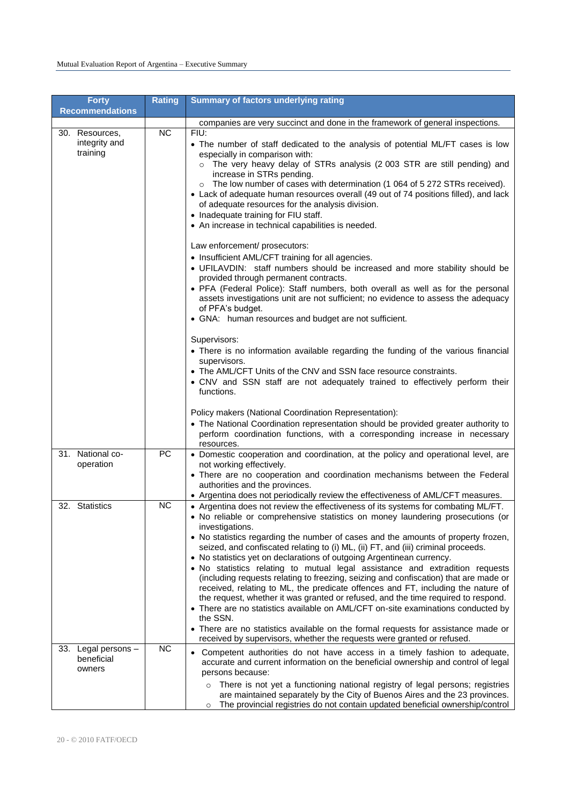| <b>Forty</b><br><b>Recommendations</b>         | <b>Rating</b> | <b>Summary of factors underlying rating</b>                                                                                                                                                                                                                                                                                                                                                                                                                                                                                                                                                                                                                                                                                                                                                                                                                                                                                                                                                                                                               |
|------------------------------------------------|---------------|-----------------------------------------------------------------------------------------------------------------------------------------------------------------------------------------------------------------------------------------------------------------------------------------------------------------------------------------------------------------------------------------------------------------------------------------------------------------------------------------------------------------------------------------------------------------------------------------------------------------------------------------------------------------------------------------------------------------------------------------------------------------------------------------------------------------------------------------------------------------------------------------------------------------------------------------------------------------------------------------------------------------------------------------------------------|
|                                                |               | companies are very succinct and done in the framework of general inspections.                                                                                                                                                                                                                                                                                                                                                                                                                                                                                                                                                                                                                                                                                                                                                                                                                                                                                                                                                                             |
| 30. Resources,<br>integrity and<br>training    | <b>NC</b>     | FIU:<br>• The number of staff dedicated to the analysis of potential ML/FT cases is low<br>especially in comparison with:<br>o The very heavy delay of STRs analysis (2 003 STR are still pending) and<br>increase in STRs pending.<br>The low number of cases with determination (1 064 of 5 272 STRs received).<br>$\circ$<br>• Lack of adequate human resources overall (49 out of 74 positions filled), and lack<br>of adequate resources for the analysis division.<br>• Inadequate training for FIU staff.<br>• An increase in technical capabilities is needed.                                                                                                                                                                                                                                                                                                                                                                                                                                                                                    |
|                                                |               | Law enforcement/ prosecutors:<br>• Insufficient AML/CFT training for all agencies.<br>• UFILAVDIN: staff numbers should be increased and more stability should be<br>provided through permanent contracts.<br>• PFA (Federal Police): Staff numbers, both overall as well as for the personal<br>assets investigations unit are not sufficient; no evidence to assess the adequacy<br>of PFA's budget.<br>• GNA: human resources and budget are not sufficient.                                                                                                                                                                                                                                                                                                                                                                                                                                                                                                                                                                                           |
|                                                |               | Supervisors:<br>• There is no information available regarding the funding of the various financial<br>supervisors.<br>• The AML/CFT Units of the CNV and SSN face resource constraints.<br>• CNV and SSN staff are not adequately trained to effectively perform their<br>functions.                                                                                                                                                                                                                                                                                                                                                                                                                                                                                                                                                                                                                                                                                                                                                                      |
|                                                |               | Policy makers (National Coordination Representation):<br>• The National Coordination representation should be provided greater authority to<br>perform coordination functions, with a corresponding increase in necessary<br>resources.                                                                                                                                                                                                                                                                                                                                                                                                                                                                                                                                                                                                                                                                                                                                                                                                                   |
| 31. National co-<br>operation                  | PC            | • Domestic cooperation and coordination, at the policy and operational level, are<br>not working effectively.<br>• There are no cooperation and coordination mechanisms between the Federal<br>authorities and the provinces.<br>• Argentina does not periodically review the effectiveness of AML/CFT measures.                                                                                                                                                                                                                                                                                                                                                                                                                                                                                                                                                                                                                                                                                                                                          |
| 32. Statistics                                 | <b>NC</b>     | • Argentina does not review the effectiveness of its systems for combating ML/FT.<br>. No reliable or comprehensive statistics on money laundering prosecutions (or<br>investigations.<br>• No statistics regarding the number of cases and the amounts of property frozen,<br>seized, and confiscated relating to (i) ML, (ii) FT, and (iii) criminal proceeds.<br>• No statistics yet on declarations of outgoing Argentinean currency.<br>. No statistics relating to mutual legal assistance and extradition requests<br>(including requests relating to freezing, seizing and confiscation) that are made or<br>received, relating to ML, the predicate offences and FT, including the nature of<br>the request, whether it was granted or refused, and the time required to respond.<br>• There are no statistics available on AML/CFT on-site examinations conducted by<br>the SSN.<br>• There are no statistics available on the formal requests for assistance made or<br>received by supervisors, whether the requests were granted or refused. |
| Legal persons -<br>33.<br>beneficial<br>owners | <b>NC</b>     | Competent authorities do not have access in a timely fashion to adequate,<br>accurate and current information on the beneficial ownership and control of legal<br>persons because:<br>There is not yet a functioning national registry of legal persons; registries<br>$\circ$<br>are maintained separately by the City of Buenos Aires and the 23 provinces.<br>The provincial registries do not contain updated beneficial ownership/control<br>$\circ$                                                                                                                                                                                                                                                                                                                                                                                                                                                                                                                                                                                                 |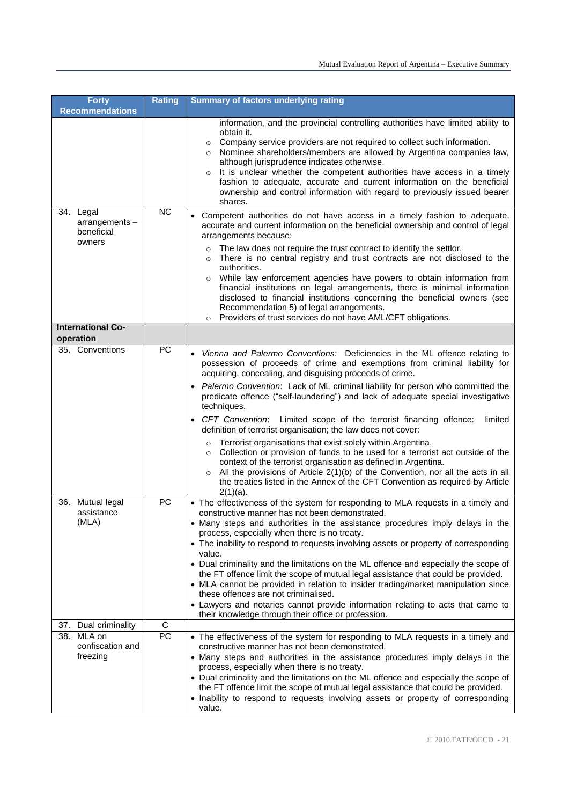| <b>Forty</b><br><b>Recommendations</b>                          | <b>Rating</b> | <b>Summary of factors underlying rating</b>                                                                                                                                                                                                                                                                                                                                                                                                                                                                                                                                                                                                                                                                                                                                                                                                                                                                                                                                          |
|-----------------------------------------------------------------|---------------|--------------------------------------------------------------------------------------------------------------------------------------------------------------------------------------------------------------------------------------------------------------------------------------------------------------------------------------------------------------------------------------------------------------------------------------------------------------------------------------------------------------------------------------------------------------------------------------------------------------------------------------------------------------------------------------------------------------------------------------------------------------------------------------------------------------------------------------------------------------------------------------------------------------------------------------------------------------------------------------|
|                                                                 |               | information, and the provincial controlling authorities have limited ability to<br>obtain it.<br>Company service providers are not required to collect such information.<br>o Nominee shareholders/members are allowed by Argentina companies law,<br>although jurisprudence indicates otherwise.<br>It is unclear whether the competent authorities have access in a timely<br>$\circ$<br>fashion to adequate, accurate and current information on the beneficial<br>ownership and control information with regard to previously issued bearer<br>shares.                                                                                                                                                                                                                                                                                                                                                                                                                           |
| 34. Legal<br>arrangements-<br>beneficial<br>owners              | <b>NC</b>     | Competent authorities do not have access in a timely fashion to adequate,<br>accurate and current information on the beneficial ownership and control of legal<br>arrangements because:<br>The law does not require the trust contract to identify the settlor.<br>There is no central registry and trust contracts are not disclosed to the<br>authorities.<br>While law enforcement agencies have powers to obtain information from<br>financial institutions on legal arrangements, there is minimal information<br>disclosed to financial institutions concerning the beneficial owners (see<br>Recommendation 5) of legal arrangements.<br>Providers of trust services do not have AML/CFT obligations.<br>$\circ$                                                                                                                                                                                                                                                              |
| <b>International Co-</b><br>operation                           |               |                                                                                                                                                                                                                                                                                                                                                                                                                                                                                                                                                                                                                                                                                                                                                                                                                                                                                                                                                                                      |
| 35. Conventions                                                 | PC            | Vienna and Palermo Conventions: Deficiencies in the ML offence relating to<br>possession of proceeds of crime and exemptions from criminal liability for<br>acquiring, concealing, and disguising proceeds of crime.<br>Palermo Convention: Lack of ML criminal liability for person who committed the<br>predicate offence ("self-laundering") and lack of adequate special investigative<br>techniques.<br>CFT Convention: Limited scope of the terrorist financing offence:<br>limited<br>definition of terrorist organisation; the law does not cover:<br>Terrorist organisations that exist solely within Argentina.<br>Collection or provision of funds to be used for a terrorist act outside of the<br>$\circ$<br>context of the terrorist organisation as defined in Argentina.<br>$\circ$ All the provisions of Article 2(1)(b) of the Convention, nor all the acts in all<br>the treaties listed in the Annex of the CFT Convention as required by Article<br>$2(1)(a)$ . |
| 36. Mutual legal<br>assistance<br>(MLA)<br>37. Dual criminality | PC<br>C       | • The effectiveness of the system for responding to MLA requests in a timely and<br>constructive manner has not been demonstrated.<br>• Many steps and authorities in the assistance procedures imply delays in the<br>process, especially when there is no treaty.<br>• The inability to respond to requests involving assets or property of corresponding<br>value.<br>• Dual criminality and the limitations on the ML offence and especially the scope of<br>the FT offence limit the scope of mutual legal assistance that could be provided.<br>• MLA cannot be provided in relation to insider trading/market manipulation since<br>these offences are not criminalised.<br>• Lawyers and notaries cannot provide information relating to acts that came to<br>their knowledge through their office or profession.                                                                                                                                                            |
| 38. MLA on<br>confiscation and<br>freezing                      | PC            | • The effectiveness of the system for responding to MLA requests in a timely and<br>constructive manner has not been demonstrated.<br>• Many steps and authorities in the assistance procedures imply delays in the<br>process, especially when there is no treaty.<br>• Dual criminality and the limitations on the ML offence and especially the scope of<br>the FT offence limit the scope of mutual legal assistance that could be provided.<br>• Inability to respond to requests involving assets or property of corresponding<br>value.                                                                                                                                                                                                                                                                                                                                                                                                                                       |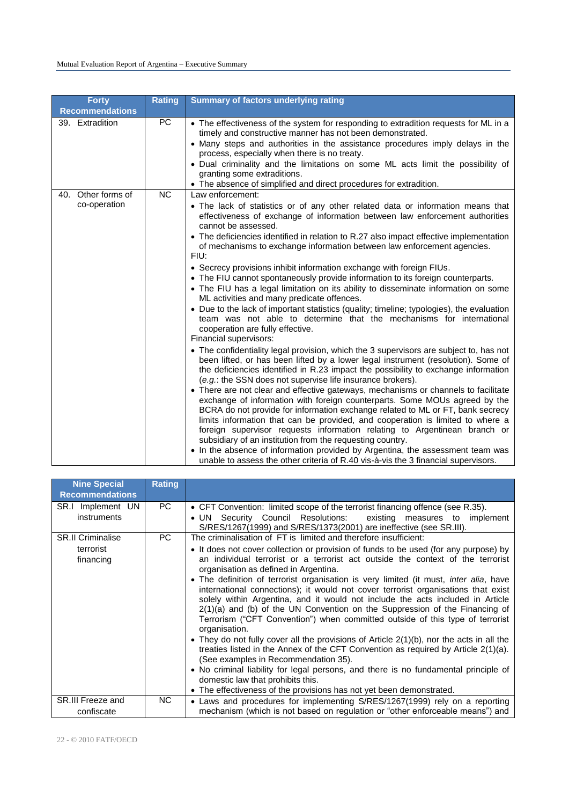| <b>Forty</b>                       | <b>Rating</b> | <b>Summary of factors underlying rating</b>                                                                                                                                                                                                                                                                                                                                                                                                                                                                                                                                                                                                                                                                                                                                                                                                                                                                                                                                                                                                                                                                                                                                                                                                                                                                                                                                                                                                                                                                                                                                                                                                                                                                                                                                                                                                                                                                            |
|------------------------------------|---------------|------------------------------------------------------------------------------------------------------------------------------------------------------------------------------------------------------------------------------------------------------------------------------------------------------------------------------------------------------------------------------------------------------------------------------------------------------------------------------------------------------------------------------------------------------------------------------------------------------------------------------------------------------------------------------------------------------------------------------------------------------------------------------------------------------------------------------------------------------------------------------------------------------------------------------------------------------------------------------------------------------------------------------------------------------------------------------------------------------------------------------------------------------------------------------------------------------------------------------------------------------------------------------------------------------------------------------------------------------------------------------------------------------------------------------------------------------------------------------------------------------------------------------------------------------------------------------------------------------------------------------------------------------------------------------------------------------------------------------------------------------------------------------------------------------------------------------------------------------------------------------------------------------------------------|
| <b>Recommendations</b>             |               |                                                                                                                                                                                                                                                                                                                                                                                                                                                                                                                                                                                                                                                                                                                                                                                                                                                                                                                                                                                                                                                                                                                                                                                                                                                                                                                                                                                                                                                                                                                                                                                                                                                                                                                                                                                                                                                                                                                        |
| 39. Extradition                    | PC            | • The effectiveness of the system for responding to extradition requests for ML in a<br>timely and constructive manner has not been demonstrated.<br>• Many steps and authorities in the assistance procedures imply delays in the<br>process, especially when there is no treaty.<br>. Dual criminality and the limitations on some ML acts limit the possibility of<br>granting some extraditions.<br>• The absence of simplified and direct procedures for extradition.                                                                                                                                                                                                                                                                                                                                                                                                                                                                                                                                                                                                                                                                                                                                                                                                                                                                                                                                                                                                                                                                                                                                                                                                                                                                                                                                                                                                                                             |
| 40. Other forms of<br>co-operation | <b>NC</b>     | Law enforcement:<br>• The lack of statistics or of any other related data or information means that<br>effectiveness of exchange of information between law enforcement authorities<br>cannot be assessed.<br>• The deficiencies identified in relation to R.27 also impact effective implementation<br>of mechanisms to exchange information between law enforcement agencies.<br>FIU:<br>• Secrecy provisions inhibit information exchange with foreign FIUs.<br>• The FIU cannot spontaneously provide information to its foreign counterparts.<br>• The FIU has a legal limitation on its ability to disseminate information on some<br>ML activities and many predicate offences.<br>• Due to the lack of important statistics (quality; timeline; typologies), the evaluation<br>team was not able to determine that the mechanisms for international<br>cooperation are fully effective.<br>Financial supervisors:<br>• The confidentiality legal provision, which the 3 supervisors are subject to, has not<br>been lifted, or has been lifted by a lower legal instrument (resolution). Some of<br>the deficiencies identified in R.23 impact the possibility to exchange information<br>(e.g.: the SSN does not supervise life insurance brokers).<br>• There are not clear and effective gateways, mechanisms or channels to facilitate<br>exchange of information with foreign counterparts. Some MOUs agreed by the<br>BCRA do not provide for information exchange related to ML or FT, bank secrecy<br>limits information that can be provided, and cooperation is limited to where a<br>foreign supervisor requests information relating to Argentinean branch or<br>subsidiary of an institution from the requesting country.<br>• In the absence of information provided by Argentina, the assessment team was<br>unable to assess the other criteria of R.40 vis-à-vis the 3 financial supervisors. |

| <b>Nine Special</b><br><b>Recommendations</b>      | <b>Rating</b> |                                                                                                                                                                                                                                                                                                                                                                                                                                                                                                                                                                                                                                                                                                                                                                                                                                                                                                                                                                                                                                                                                                                                                                             |
|----------------------------------------------------|---------------|-----------------------------------------------------------------------------------------------------------------------------------------------------------------------------------------------------------------------------------------------------------------------------------------------------------------------------------------------------------------------------------------------------------------------------------------------------------------------------------------------------------------------------------------------------------------------------------------------------------------------------------------------------------------------------------------------------------------------------------------------------------------------------------------------------------------------------------------------------------------------------------------------------------------------------------------------------------------------------------------------------------------------------------------------------------------------------------------------------------------------------------------------------------------------------|
| SR.I Implement UN<br>instruments                   | PC.           | • CFT Convention: limited scope of the terrorist financing offence (see R.35).<br>Security Council Resolutions:<br>existing measures to implement<br>$\bullet$ un $\bullet$<br>S/RES/1267(1999) and S/RES/1373(2001) are ineffective (see SR.III).                                                                                                                                                                                                                                                                                                                                                                                                                                                                                                                                                                                                                                                                                                                                                                                                                                                                                                                          |
| <b>SR.II Criminalise</b><br>terrorist<br>financing | PC            | The criminalisation of FT is limited and therefore insufficient:<br>• It does not cover collection or provision of funds to be used (for any purpose) by<br>an individual terrorist or a terrorist act outside the context of the terrorist<br>organisation as defined in Argentina.<br>. The definition of terrorist organisation is very limited (it must, inter alia, have<br>international connections); it would not cover terrorist organisations that exist<br>solely within Argentina, and it would not include the acts included in Article<br>$2(1)(a)$ and (b) of the UN Convention on the Suppression of the Financing of<br>Terrorism ("CFT Convention") when committed outside of this type of terrorist<br>organisation.<br>• They do not fully cover all the provisions of Article $2(1)(b)$ , nor the acts in all the<br>treaties listed in the Annex of the CFT Convention as required by Article $2(1)(a)$ .<br>(See examples in Recommendation 35).<br>• No criminal liability for legal persons, and there is no fundamental principle of<br>domestic law that prohibits this.<br>• The effectiveness of the provisions has not yet been demonstrated. |
| SR.III Freeze and<br>confiscate                    | NC.           | • Laws and procedures for implementing S/RES/1267(1999) rely on a reporting<br>mechanism (which is not based on regulation or "other enforceable means") and                                                                                                                                                                                                                                                                                                                                                                                                                                                                                                                                                                                                                                                                                                                                                                                                                                                                                                                                                                                                                |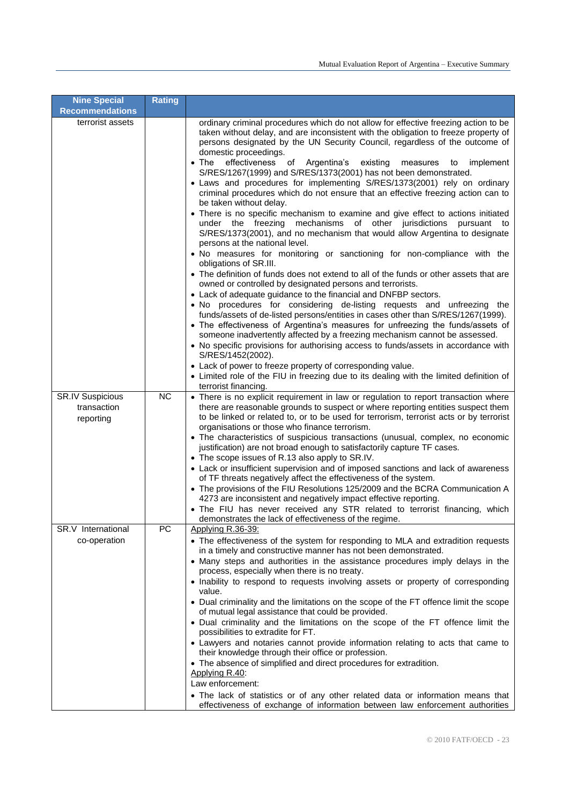| <b>Nine Special</b>                                 | <b>Rating</b> |                                                                                                                                                                                                                                                                                                                                                                                                                                                                                                                                                                                                                                                                                                                                                                                                                                                                                                                                                                                                                                                                                                                                                                                                                                                                                                                                                                                                                                                                                                                                                                                                                                                                                                                                                                                                                                                                                   |
|-----------------------------------------------------|---------------|-----------------------------------------------------------------------------------------------------------------------------------------------------------------------------------------------------------------------------------------------------------------------------------------------------------------------------------------------------------------------------------------------------------------------------------------------------------------------------------------------------------------------------------------------------------------------------------------------------------------------------------------------------------------------------------------------------------------------------------------------------------------------------------------------------------------------------------------------------------------------------------------------------------------------------------------------------------------------------------------------------------------------------------------------------------------------------------------------------------------------------------------------------------------------------------------------------------------------------------------------------------------------------------------------------------------------------------------------------------------------------------------------------------------------------------------------------------------------------------------------------------------------------------------------------------------------------------------------------------------------------------------------------------------------------------------------------------------------------------------------------------------------------------------------------------------------------------------------------------------------------------|
| <b>Recommendations</b>                              |               |                                                                                                                                                                                                                                                                                                                                                                                                                                                                                                                                                                                                                                                                                                                                                                                                                                                                                                                                                                                                                                                                                                                                                                                                                                                                                                                                                                                                                                                                                                                                                                                                                                                                                                                                                                                                                                                                                   |
| terrorist assets                                    |               | ordinary criminal procedures which do not allow for effective freezing action to be<br>taken without delay, and are inconsistent with the obligation to freeze property of<br>persons designated by the UN Security Council, regardless of the outcome of<br>domestic proceedings.<br>$\bullet$ The<br>effectiveness<br>of Argentina's<br>existing<br>measures<br>implement<br>to<br>S/RES/1267(1999) and S/RES/1373(2001) has not been demonstrated.<br>• Laws and procedures for implementing S/RES/1373(2001) rely on ordinary<br>criminal procedures which do not ensure that an effective freezing action can to<br>be taken without delay.<br>• There is no specific mechanism to examine and give effect to actions initiated<br>under the freezing mechanisms of other jurisdictions pursuant to<br>S/RES/1373(2001), and no mechanism that would allow Argentina to designate<br>persons at the national level.<br>. No measures for monitoring or sanctioning for non-compliance with the<br>obligations of SR.III.<br>• The definition of funds does not extend to all of the funds or other assets that are<br>owned or controlled by designated persons and terrorists.<br>• Lack of adequate guidance to the financial and DNFBP sectors.<br>. No procedures for considering de-listing requests and unfreezing the<br>funds/assets of de-listed persons/entities in cases other than S/RES/1267(1999).<br>• The effectiveness of Argentina's measures for unfreezing the funds/assets of<br>someone inadvertently affected by a freezing mechanism cannot be assessed.<br>• No specific provisions for authorising access to funds/assets in accordance with<br>S/RES/1452(2002).<br>• Lack of power to freeze property of corresponding value.<br>• Limited role of the FIU in freezing due to its dealing with the limited definition of<br>terrorist financing. |
| <b>SR.IV Suspicious</b><br>transaction<br>reporting | <b>NC</b>     | • There is no explicit requirement in law or regulation to report transaction where<br>there are reasonable grounds to suspect or where reporting entities suspect them<br>to be linked or related to, or to be used for terrorism, terrorist acts or by terrorist<br>organisations or those who finance terrorism.<br>• The characteristics of suspicious transactions (unusual, complex, no economic<br>justification) are not broad enough to satisfactorily capture TF cases.<br>• The scope issues of R.13 also apply to SR.IV.<br>• Lack or insufficient supervision and of imposed sanctions and lack of awareness<br>of TF threats negatively affect the effectiveness of the system.<br>• The provisions of the FIU Resolutions 125/2009 and the BCRA Communication A<br>4273 are inconsistent and negatively impact effective reporting.<br>• The FIU has never received any STR related to terrorist financing, which                                                                                                                                                                                                                                                                                                                                                                                                                                                                                                                                                                                                                                                                                                                                                                                                                                                                                                                                                  |
|                                                     |               | demonstrates the lack of effectiveness of the regime.                                                                                                                                                                                                                                                                                                                                                                                                                                                                                                                                                                                                                                                                                                                                                                                                                                                                                                                                                                                                                                                                                                                                                                                                                                                                                                                                                                                                                                                                                                                                                                                                                                                                                                                                                                                                                             |
| SR.V International<br>co-operation                  | PC            | Applying R.36-39:<br>• The effectiveness of the system for responding to MLA and extradition requests<br>in a timely and constructive manner has not been demonstrated.<br>• Many steps and authorities in the assistance procedures imply delays in the<br>process, especially when there is no treaty.<br>• Inability to respond to requests involving assets or property of corresponding<br>value.<br>• Dual criminality and the limitations on the scope of the FT offence limit the scope<br>of mutual legal assistance that could be provided.<br>• Dual criminality and the limitations on the scope of the FT offence limit the<br>possibilities to extradite for FT.<br>• Lawyers and notaries cannot provide information relating to acts that came to<br>their knowledge through their office or profession.<br>• The absence of simplified and direct procedures for extradition.<br>Applying R.40:<br>Law enforcement:<br>• The lack of statistics or of any other related data or information means that<br>effectiveness of exchange of information between law enforcement authorities                                                                                                                                                                                                                                                                                                                                                                                                                                                                                                                                                                                                                                                                                                                                                                           |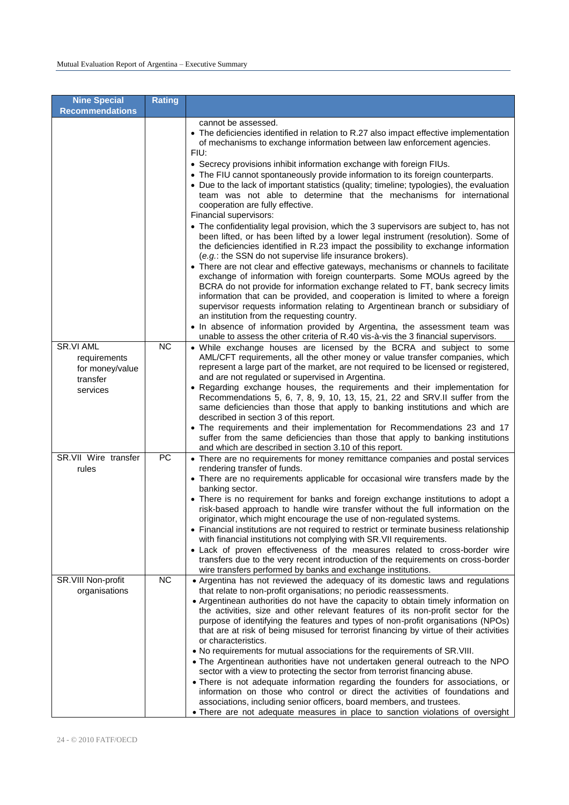| <b>Nine Special</b><br><b>Recommendations</b>                        | <b>Rating</b> |                                                                                                                                                                                                                                                                                                                                                                                                                                                                                                                                                                                                                                                                                                                                                                                                                                                                                                                                                                                                                                                                                                                                                                                                                                                                                                                                                              |
|----------------------------------------------------------------------|---------------|--------------------------------------------------------------------------------------------------------------------------------------------------------------------------------------------------------------------------------------------------------------------------------------------------------------------------------------------------------------------------------------------------------------------------------------------------------------------------------------------------------------------------------------------------------------------------------------------------------------------------------------------------------------------------------------------------------------------------------------------------------------------------------------------------------------------------------------------------------------------------------------------------------------------------------------------------------------------------------------------------------------------------------------------------------------------------------------------------------------------------------------------------------------------------------------------------------------------------------------------------------------------------------------------------------------------------------------------------------------|
|                                                                      |               | cannot be assessed.<br>• The deficiencies identified in relation to R.27 also impact effective implementation<br>of mechanisms to exchange information between law enforcement agencies.<br>FIU:<br>• Secrecy provisions inhibit information exchange with foreign FIUs.<br>• The FIU cannot spontaneously provide information to its foreign counterparts.<br>• Due to the lack of important statistics (quality; timeline; typologies), the evaluation<br>team was not able to determine that the mechanisms for international<br>cooperation are fully effective.<br>Financial supervisors:<br>• The confidentiality legal provision, which the 3 supervisors are subject to, has not<br>been lifted, or has been lifted by a lower legal instrument (resolution). Some of<br>the deficiencies identified in R.23 impact the possibility to exchange information<br>(e.g.: the SSN do not supervise life insurance brokers).<br>• There are not clear and effective gateways, mechanisms or channels to facilitate<br>exchange of information with foreign counterparts. Some MOUs agreed by the<br>BCRA do not provide for information exchange related to FT, bank secrecy limits<br>information that can be provided, and cooperation is limited to where a foreign<br>supervisor requests information relating to Argentinean branch or subsidiary of |
|                                                                      |               | an institution from the requesting country.<br>In absence of information provided by Argentina, the assessment team was<br>unable to assess the other criteria of R.40 vis-à-vis the 3 financial supervisors.                                                                                                                                                                                                                                                                                                                                                                                                                                                                                                                                                                                                                                                                                                                                                                                                                                                                                                                                                                                                                                                                                                                                                |
| SR.VI AML<br>requirements<br>for money/value<br>transfer<br>services | <b>NC</b>     | • While exchange houses are licensed by the BCRA and subject to some<br>AML/CFT requirements, all the other money or value transfer companies, which<br>represent a large part of the market, are not required to be licensed or registered,<br>and are not regulated or supervised in Argentina.<br>• Regarding exchange houses, the requirements and their implementation for<br>Recommendations 5, 6, 7, 8, 9, 10, 13, 15, 21, 22 and SRV.II suffer from the<br>same deficiencies than those that apply to banking institutions and which are<br>described in section 3 of this report.<br>• The requirements and their implementation for Recommendations 23 and 17<br>suffer from the same deficiencies than those that apply to banking institutions<br>and which are described in section 3.10 of this report.                                                                                                                                                                                                                                                                                                                                                                                                                                                                                                                                        |
| SR.VII Wire transfer<br>rules                                        | PC            | • There are no requirements for money remittance companies and postal services<br>rendering transfer of funds.<br>• There are no requirements applicable for occasional wire transfers made by the<br>banking sector.<br>• There is no requirement for banks and foreign exchange institutions to adopt a<br>risk-based approach to handle wire transfer without the full information on the<br>originator, which might encourage the use of non-regulated systems.<br>• Financial institutions are not required to restrict or terminate business relationship<br>with financial institutions not complying with SR. VII requirements.<br>• Lack of proven effectiveness of the measures related to cross-border wire<br>transfers due to the very recent introduction of the requirements on cross-border<br>wire transfers performed by banks and exchange institutions.                                                                                                                                                                                                                                                                                                                                                                                                                                                                                  |
| SR.VIII Non-profit<br>organisations                                  | <b>NC</b>     | • Argentina has not reviewed the adequacy of its domestic laws and regulations<br>that relate to non-profit organisations; no periodic reassessments.<br>• Argentinean authorities do not have the capacity to obtain timely information on<br>the activities, size and other relevant features of its non-profit sector for the<br>purpose of identifying the features and types of non-profit organisations (NPOs)<br>that are at risk of being misused for terrorist financing by virtue of their activities<br>or characteristics.<br>. No requirements for mutual associations for the requirements of SR.VIII.<br>. The Argentinean authorities have not undertaken general outreach to the NPO<br>sector with a view to protecting the sector from terrorist financing abuse.<br>• There is not adequate information regarding the founders for associations, or<br>information on those who control or direct the activities of foundations and<br>associations, including senior officers, board members, and trustees.<br>• There are not adequate measures in place to sanction violations of oversight                                                                                                                                                                                                                                           |